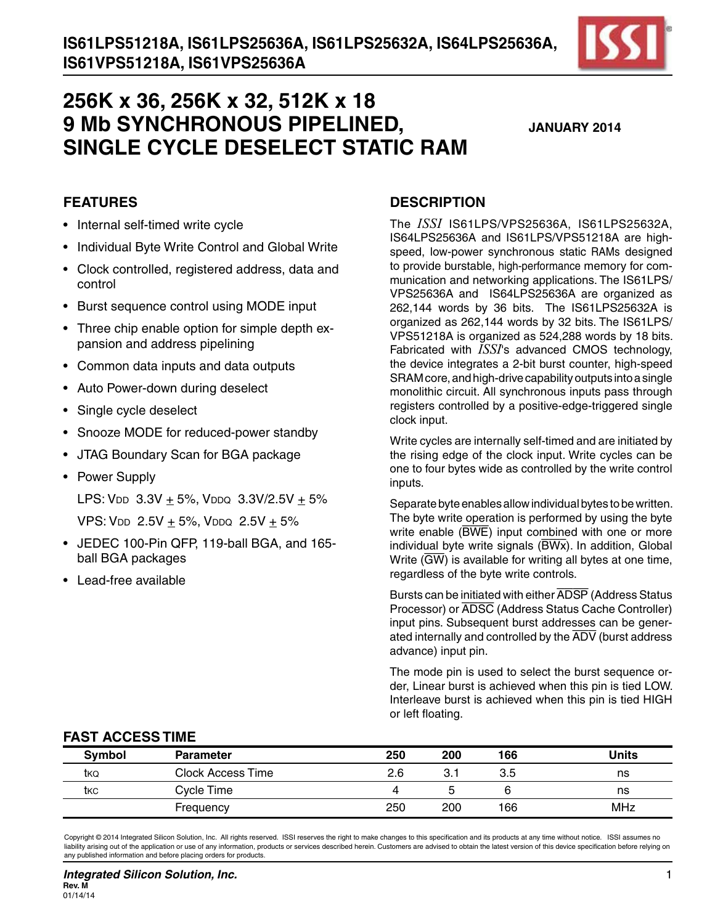

**JANUARY 2014**

#### **FEATURES**

- Internal self-timed write cycle
- Individual Byte Write Control and Global Write
- • Clock controlled, registered address, data and control
- Burst sequence control using MODE input
- Three chip enable option for simple depth expansion and address pipelining
- • Common data inputs and data outputs
- Auto Power-down during deselect
- Single cycle deselect
- Snooze MODE for reduced-power standby
- • JTAG Boundary Scan for BGA package
- Power Supply

LPS:  $V_{DD}$  3.3V + 5%, V<sub>DDQ</sub> 3.3V/2.5V + 5%

VPS: VDD  $2.5V + 5%$ , VDDQ  $2.5V + 5%$ 

- • JEDEC 100-Pin QFP, 119-ball BGA, and 165 ball BGA packages
- Lead-free available

#### **DESCRIPTION**

The *ISSI* IS61LPS/VPS25636A, IS61LPS25632A, IS64LPS25636A and IS61LPS/VPS51218A are highspeed, low-power synchronous static RAMs designed to provide burstable, high-performance memory for communication and networking applications. The IS61LPS/ VPS25636A and IS64LPS25636A are organized as 262,144 words by 36 bits. The IS61LPS25632A is organized as 262,144 words by 32 bits. The IS61LPS/ VPS51218A is organized as 524,288 words by 18 bits. Fabricated with *ISSI*'s advanced CMOS technology, the device integrates a 2-bit burst counter, high-speed SRAM core, and high-drive capability outputs into a single monolithic circuit. All synchronous inputs pass through registers controlled by a positive-edge-triggered single clock input.

Write cycles are internally self-timed and are initiated by the rising edge of the clock input. Write cycles can be one to four bytes wide as controlled by the write control inputs.

Separate byte enables allow individual bytes to be written. The byte write operation is performed by using the byte write enable (BWE) input combined with one or more individual byte write signals (BWx). In addition, Global Write (GW) is available for writing all bytes at one time, regardless of the byte write controls.

Bursts can be initiated with either ADSP (Address Status Processor) or ADSC (Address Status Cache Controller) input pins. Subsequent burst addresses can be generated internally and controlled by the ADV (burst address advance) input pin.

The mode pin is used to select the burst sequence order, Linear burst is achieved when this pin is tied LOW. Interleave burst is achieved when this pin is tied HIGH or left floating.

#### **FAST ACCESS TIME**

| <b>Symbol</b> | <b>Parameter</b>  | 250 | 200 | 166 | <b>Units</b> |
|---------------|-------------------|-----|-----|-----|--------------|
| tkQ           | Clock Access Time | 2.6 | 3.  | 3.5 | ns           |
| tkc           | Cycle Time        |     |     |     | ns           |
|               | Frequency         | 250 | 200 | 166 | MHz          |

Copyright © 2014 Integrated Silicon Solution, Inc. All rights reserved. ISSI reserves the right to make changes to this specification and its products at any time without notice. ISSI assumes no liability arising out of the application or use of any information, products or services described herein. Customers are advised to obtain the latest version of this device specification before relying on any published information and before placing orders for products.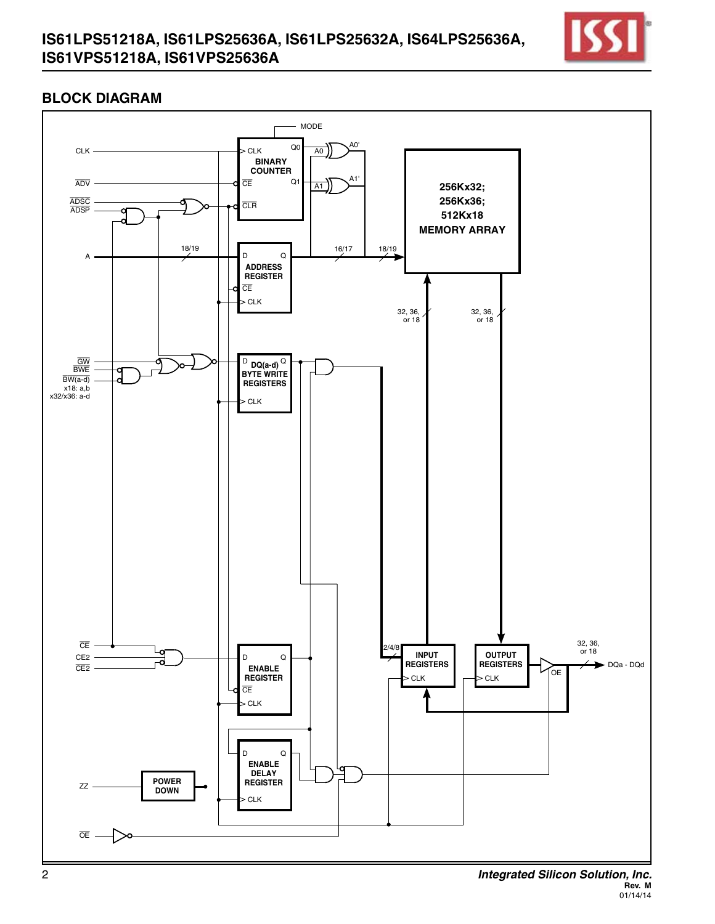## **IS61LPS51218A, IS61LPS25636A, IS61LPS25632A, IS64LPS25636A, IS61VPS51218A, IS61VPS25636A**



## **BLOCK DIAGRAM**



**Rev. M** 01/14/14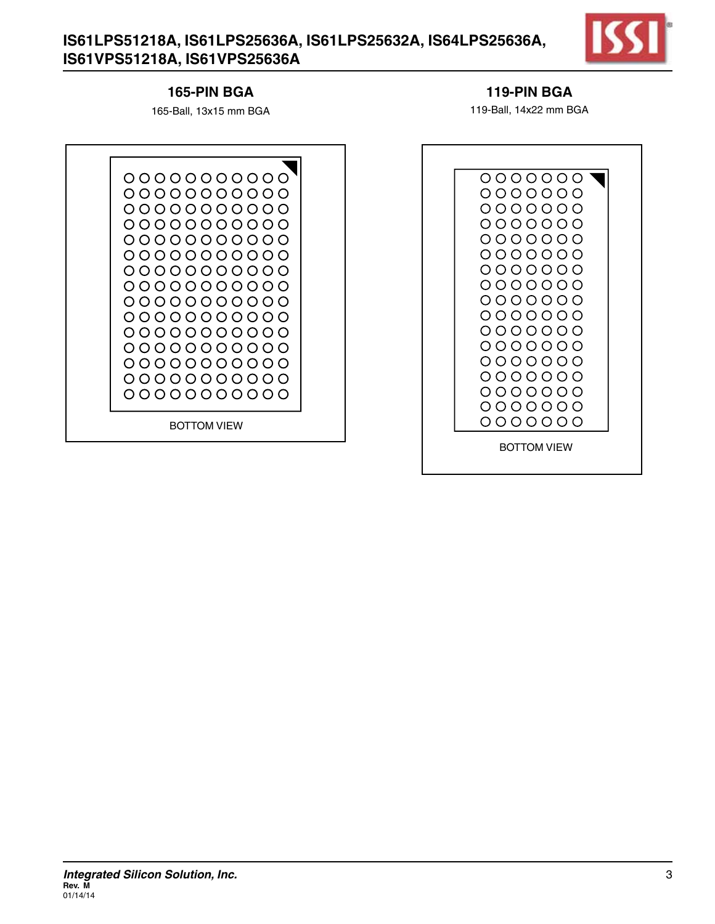# **IS61LPS51218A, IS61LPS25636A, IS61LPS25632A, IS64LPS25636A, IS61VPS51218A, IS61VPS25636A**



#### **165-pin BGA**

165-Ball, 13x15 mm BGA

#### **119-pin BGA**

119-Ball, 14x22 mm BGA

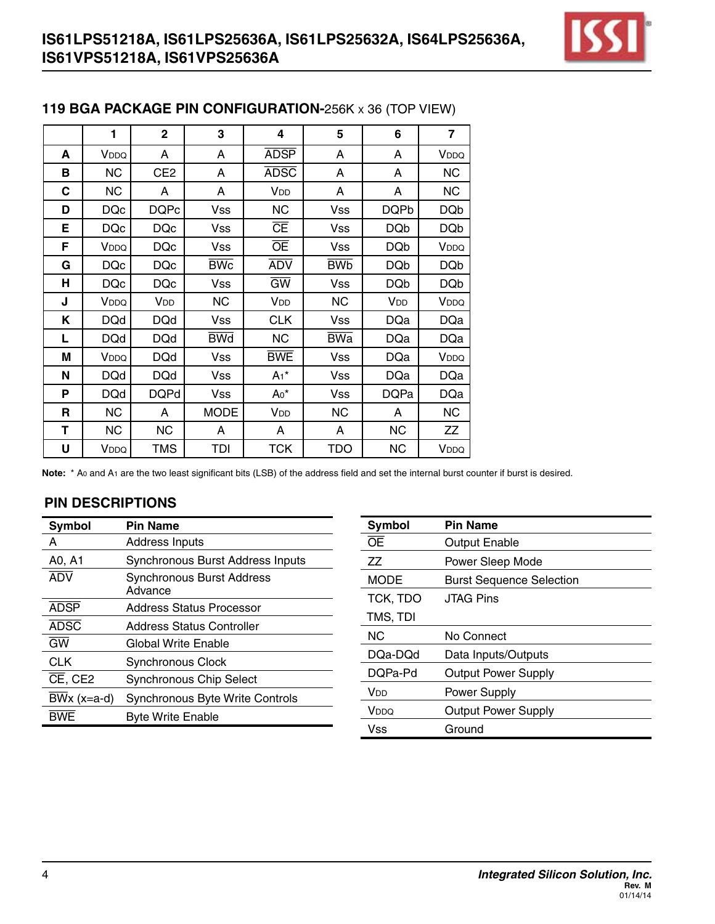

|   | 1                       | $\mathbf 2$     | 3           | 4                      | 5                     | 6               | 7                |
|---|-------------------------|-----------------|-------------|------------------------|-----------------------|-----------------|------------------|
| A | VDDQ                    | A               | A           | <b>ADSP</b>            | A                     | A               | V <sub>DDQ</sub> |
| в | NC                      | CE <sub>2</sub> | A           | <b>ADSC</b>            | A                     | A               | <b>NC</b>        |
| С | NC                      | A               | A           | V <sub>DD</sub>        | A                     | A               | <b>NC</b>        |
| D | <b>DQc</b>              | <b>DQPc</b>     | <b>Vss</b>  | <b>NC</b>              | Vss                   | <b>DQPb</b>     | <b>DQb</b>       |
| Е | <b>DQc</b>              | <b>DQc</b>      | <b>Vss</b>  | <b>CE</b>              | <b>Vss</b>            | <b>DQb</b>      | <b>DQb</b>       |
| F | <b>V</b> <sub>DDQ</sub> | <b>DQc</b>      | <b>Vss</b>  | ŌE                     | <b>Vss</b>            | <b>DQb</b>      | V <sub>DDQ</sub> |
| G | <b>DQc</b>              | <b>DQc</b>      | <b>BWc</b>  | <b>ADV</b>             | <b>BW<sub>b</sub></b> | <b>DQb</b>      | <b>DQb</b>       |
| н | <b>DQc</b>              | <b>DQc</b>      | <b>Vss</b>  | $\overline{\text{GW}}$ | <b>Vss</b>            | <b>DQb</b>      | <b>DQb</b>       |
| J | V <sub>DDQ</sub>        | V <sub>DD</sub> | <b>NC</b>   | V <sub>DD</sub>        | <b>NC</b>             | V <sub>DD</sub> | VDDQ             |
| Κ | <b>DQd</b>              | <b>DQd</b>      | <b>Vss</b>  | <b>CLK</b>             | <b>Vss</b>            | <b>DQa</b>      | <b>DQa</b>       |
| L | <b>DQd</b>              | <b>DQd</b>      | <b>BWd</b>  | <b>NC</b>              | <b>BWa</b>            | <b>DQa</b>      | <b>DQa</b>       |
| M | VDDQ                    | <b>DQd</b>      | <b>Vss</b>  | <b>BWE</b>             | <b>Vss</b>            | <b>DQa</b>      | VDDQ             |
| N | <b>DQd</b>              | <b>DQd</b>      | <b>Vss</b>  | $A_1$ *                | <b>Vss</b>            | <b>DQa</b>      | <b>DQa</b>       |
| P | <b>DQd</b>              | <b>DQPd</b>     | <b>Vss</b>  | $A_0^*$                | <b>Vss</b>            | <b>DQPa</b>     | <b>DQa</b>       |
| R | <b>NC</b>               | A               | <b>MODE</b> | V <sub>DD</sub>        | <b>NC</b>             | A               | <b>NC</b>        |
| т | NC                      | NC.             | A           | А                      | A                     | <b>NC</b>       | ΖZ               |
| U | V <sub>DDQ</sub>        | <b>TMS</b>      | TDI         | TCK                    | TDO                   | <b>NC</b>       | VDDQ             |

#### **119 BGA PACKAGE PIN CONFIGURATION-**256K x 36 (TOP VIEW)

**Note:** \* A0 and A1 are the two least significant bits (LSB) of the address field and set the internal burst counter if burst is desired.

| Symbol                    | <b>Pin Name</b>                             | Symbol                 | <b>Pin Name</b>                 |
|---------------------------|---------------------------------------------|------------------------|---------------------------------|
| A                         | Address Inputs                              | <b>OE</b>              | <b>Output Enable</b>            |
| A0, A1                    | <b>Synchronous Burst Address Inputs</b>     | ZZ                     | Power Sleep Mode                |
| <b>ADV</b>                | <b>Synchronous Burst Address</b><br>Advance | <b>MODE</b>            | <b>Burst Sequence Selection</b> |
|                           |                                             | TCK, TDO               | <b>JTAG Pins</b>                |
| <b>ADSP</b>               | <b>Address Status Processor</b>             | TMS, TDI               |                                 |
| <b>ADSC</b>               | <b>Address Status Controller</b>            |                        |                                 |
| $\overline{GW}$           | <b>Global Write Enable</b>                  | <b>NC</b>              | No Connect                      |
| <b>CLK</b>                | <b>Synchronous Clock</b>                    | DQa-DQd                | Data Inputs/Outputs             |
|                           |                                             | DQPa-Pd                | <b>Output Power Supply</b>      |
| CE, CE2                   | <b>Synchronous Chip Select</b>              |                        |                                 |
| $\overline{BW}$ x (x=a-d) | Synchronous Byte Write Controls             | <b>V</b> <sub>DD</sub> | Power Supply                    |
| <b>BWE</b>                | <b>Byte Write Enable</b>                    | V <sub>DDQ</sub>       | <b>Output Power Supply</b>      |
|                           |                                             | <b>Vss</b>             | Ground                          |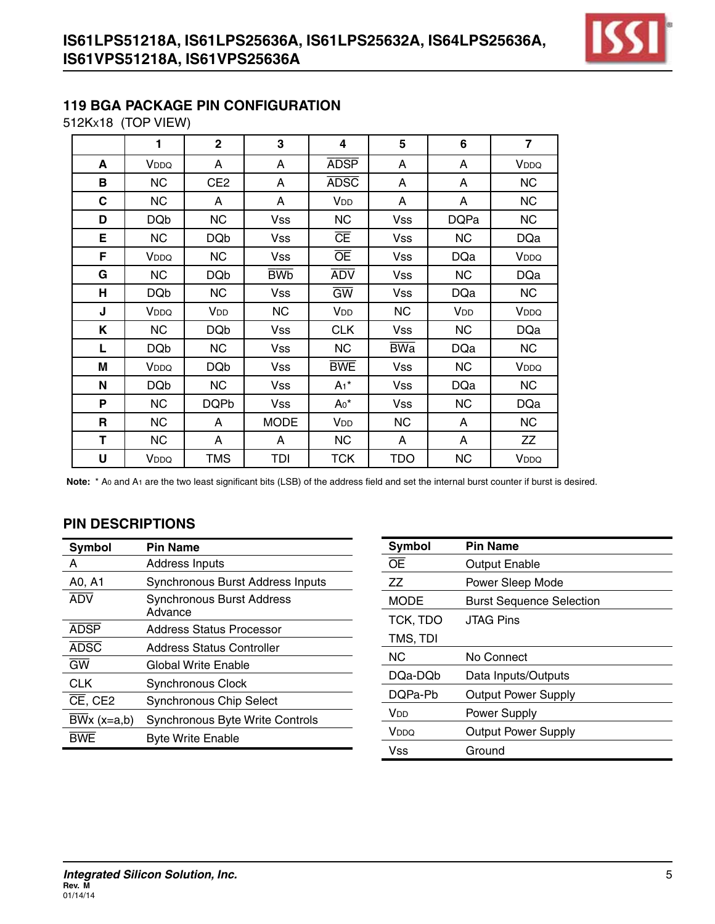

# **119 BGA PACKAGE PIN CONFIGURATION**

512Kx18 (TOP VIEW)

|   | 1                | $\mathbf{2}$    | 3                     | 4               | 5          | 6               | $\overline{\mathbf{z}}$ |
|---|------------------|-----------------|-----------------------|-----------------|------------|-----------------|-------------------------|
| A | V <sub>DDQ</sub> | A               | A                     | <b>ADSP</b>     | A          | A               | VDDQ                    |
| в | <b>NC</b>        | CE <sub>2</sub> | A                     | <b>ADSC</b>     | A          | A               | <b>NC</b>               |
| C | <b>NC</b>        | A               | A                     | V <sub>DD</sub> | A          | A               | <b>NC</b>               |
| D | <b>DQb</b>       | <b>NC</b>       | <b>Vss</b>            | <b>NC</b>       | <b>Vss</b> | <b>DQPa</b>     | <b>NC</b>               |
| E | <b>NC</b>        | <b>DQb</b>      | <b>Vss</b>            | <b>CE</b>       | <b>Vss</b> | <b>NC</b>       | <b>DQa</b>              |
| F | V <sub>DDQ</sub> | <b>NC</b>       | <b>Vss</b>            | <b>OE</b>       | <b>Vss</b> | <b>DQa</b>      | VDDQ                    |
| G | <b>NC</b>        | <b>DQb</b>      | <b>BW<sub>b</sub></b> | <b>ADV</b>      | <b>Vss</b> | <b>NC</b>       | <b>DQa</b>              |
| н | <b>DQb</b>       | <b>NC</b>       | <b>Vss</b>            | $\overline{GW}$ | <b>Vss</b> | <b>DQa</b>      | <b>NC</b>               |
| J | V <sub>DDQ</sub> | V <sub>DD</sub> | <b>NC</b>             | V <sub>DD</sub> | <b>NC</b>  | V <sub>DD</sub> | VDDQ                    |
| Κ | <b>NC</b>        | <b>DQb</b>      | <b>Vss</b>            | <b>CLK</b>      | <b>Vss</b> | <b>NC</b>       | <b>DQa</b>              |
| L | <b>DQb</b>       | <b>NC</b>       | <b>Vss</b>            | <b>NC</b>       | <b>BWa</b> | <b>DQa</b>      | <b>NC</b>               |
| M | V <sub>DDQ</sub> | <b>DQb</b>      | <b>Vss</b>            | <b>BWE</b>      | <b>Vss</b> | <b>NC</b>       | V <sub>DDQ</sub>        |
| N | <b>DQb</b>       | <b>NC</b>       | <b>Vss</b>            | $A_1^*$         | Vss        | <b>DQa</b>      | <b>NC</b>               |
| P | <b>NC</b>        | <b>DQPb</b>     | <b>Vss</b>            | $A_0^*$         | <b>Vss</b> | <b>NC</b>       | <b>DQa</b>              |
| R | <b>NC</b>        | A               | <b>MODE</b>           | V <sub>DD</sub> | NC.        | A               | <b>NC</b>               |
| T | <b>NC</b>        | A               | A                     | <b>NC</b>       | A          | A               | ZZ                      |
| U | V <sub>DDQ</sub> | <b>TMS</b>      | TDI                   | <b>TCK</b>      | TDO        | <b>NC</b>       | VDDQ                    |

Note: \* Ao and A<sub>1</sub> are the two least significant bits (LSB) of the address field and set the internal burst counter if burst is desired.

| Symbol        | <b>Pin Name</b>                             |
|---------------|---------------------------------------------|
| А             | Address Inputs                              |
| A0, A1        | Synchronous Burst Address Inputs            |
| <b>ADV</b>    | <b>Synchronous Burst Address</b><br>Advance |
| <b>ADSP</b>   | <b>Address Status Processor</b>             |
| <b>ADSC</b>   | Address Status Controller                   |
| <b>GW</b>     | Global Write Enable                         |
| <b>CLK</b>    | <b>Synchronous Clock</b>                    |
| $CE$ , $CE2$  | <b>Synchronous Chip Select</b>              |
| $BWx (x=a,b)$ | <b>Synchronous Byte Write Controls</b>      |
| <b>BWF</b>    | <b>Byte Write Enable</b>                    |

| Symbol      | <b>Pin Name</b>                 |
|-------------|---------------------------------|
| ŌE          | Output Enable                   |
| ΖZ          | Power Sleep Mode                |
| <b>MODE</b> | <b>Burst Sequence Selection</b> |
| TCK, TDO    | <b>JTAG Pins</b>                |
| TMS, TDI    |                                 |
| NС          | No Connect                      |
| DQa-DQb     | Data Inputs/Outputs             |
| DQPa-Pb     | <b>Output Power Supply</b>      |
| VDD         | Power Supply                    |
| VDDQ        | <b>Output Power Supply</b>      |
| Vss         | Ground                          |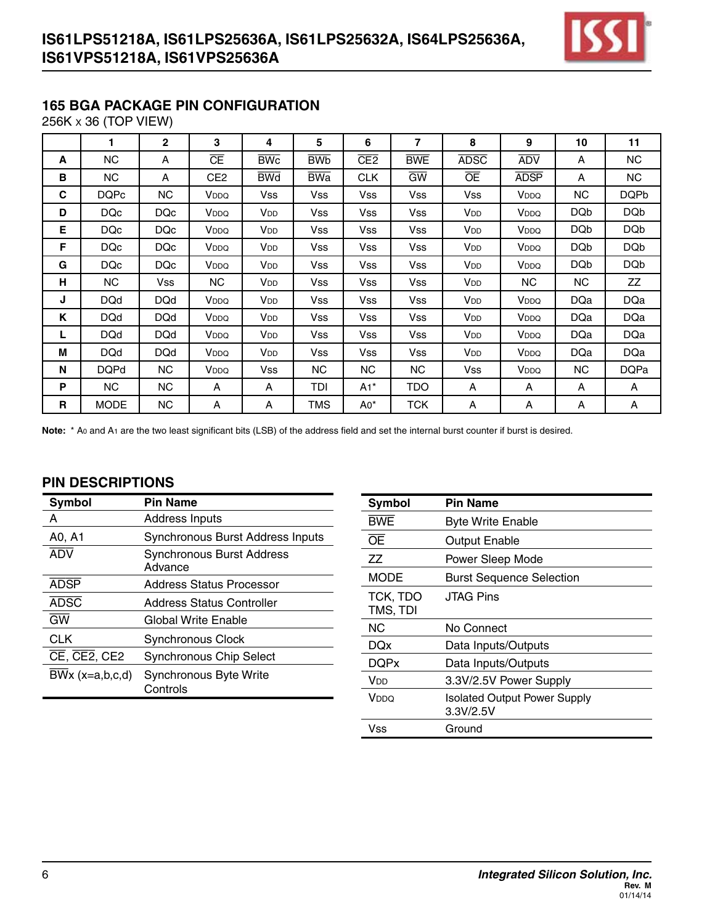

## **165 BGA PACKAGE PIN CONFIGURATION**

256K x 36 (TOP VIEW)

|    | 1           | $\mathbf{2}$ | 3                | 4                      | 5                     | 6               | 7                      | 8                      | 9                | 10         | 11          |
|----|-------------|--------------|------------------|------------------------|-----------------------|-----------------|------------------------|------------------------|------------------|------------|-------------|
| A  | NC          | A            | Œ                | <b>BWc</b>             | <b>BW<sub>b</sub></b> | CE <sub>2</sub> | <b>BWE</b>             | <b>ADSC</b>            | <b>ADV</b>       | A          | NC          |
| B  | NC          | A            | CE2              | <b>BWd</b>             | <b>BWa</b>            | <b>CLK</b>      | $\overline{\text{GW}}$ | <b>OE</b>              | <b>ADSP</b>      | A          | <b>NC</b>   |
| C  | <b>DQPc</b> | <b>NC</b>    | V <sub>DDQ</sub> | <b>Vss</b>             | Vss                   | <b>Vss</b>      | Vss                    | <b>Vss</b>             | V <sub>DDQ</sub> | NC         | <b>DQPb</b> |
| D  | DQc         | DQc          | V <sub>DDQ</sub> | V <sub>DD</sub>        | Vss                   | Vss             | Vss                    | <b>V</b> <sub>DD</sub> | V <sub>DDQ</sub> | <b>DQb</b> | <b>DQb</b>  |
| Е  | DQc         | DQc          | V <sub>DDQ</sub> | V <sub>DD</sub>        | Vss                   | Vss             | Vss                    | <b>V</b> <sub>DD</sub> | V <sub>DDQ</sub> | <b>DQb</b> | <b>DQb</b>  |
| F  | DQc         | DQc          | V <sub>DDQ</sub> | <b>V</b> <sub>DD</sub> | Vss                   | <b>Vss</b>      | Vss                    | <b>V<sub>DD</sub></b>  | V <sub>DDQ</sub> | <b>DQb</b> | <b>DQb</b>  |
| G  | DQc         | DQc          | V <sub>DDQ</sub> | V <sub>DD</sub>        | Vss                   | <b>Vss</b>      | Vss                    | <b>V</b> <sub>DD</sub> | V <sub>DDQ</sub> | <b>DQb</b> | <b>DQb</b>  |
| н  | NC          | Vss          | NC               | V <sub>DD</sub>        | Vss                   | <b>Vss</b>      | Vss                    | V <sub>DD</sub>        | <b>NC</b>        | NC.        | ZZ          |
| J  | <b>DQd</b>  | <b>DQd</b>   | V <sub>DDQ</sub> | V <sub>DD</sub>        | Vss                   | <b>Vss</b>      | Vss                    | <b>V</b> <sub>DD</sub> | V <sub>DDQ</sub> | DQa        | <b>DQa</b>  |
| K  | <b>DQd</b>  | <b>DQd</b>   | V <sub>DDQ</sub> | V <sub>DD</sub>        | Vss                   | <b>Vss</b>      | Vss                    | <b>V</b> <sub>DD</sub> | V <sub>DDQ</sub> | <b>DQa</b> | <b>DQa</b>  |
| L  | <b>DQd</b>  | <b>DQd</b>   | V <sub>DDQ</sub> | V <sub>DD</sub>        | Vss                   | Vss             | Vss                    | V <sub>DD</sub>        | V <sub>DDQ</sub> | <b>DQa</b> | <b>DQa</b>  |
| м  | <b>DQd</b>  | <b>DQd</b>   | V <sub>DDQ</sub> | <b>V</b> <sub>DD</sub> | Vss                   | <b>Vss</b>      | Vss                    | <b>V</b> <sub>DD</sub> | V <sub>DDQ</sub> | <b>DQa</b> | <b>DQa</b>  |
| N  | <b>DQPd</b> | <b>NC</b>    | V <sub>DDQ</sub> | Vss                    | <b>NC</b>             | NC.             | NC.                    | <b>Vss</b>             | V <sub>DDQ</sub> | NC         | <b>DQPa</b> |
| P  | NC.         | NC.          | A                | A                      | TDI                   | $A1^*$          | TDO                    | A                      | A                | A          | A           |
| R. | <b>MODE</b> | NC.          | Α                | A                      | TMS                   | $A0^*$          | <b>TCK</b>             | A                      | Α                | Α          | A           |

Note: \* A<sub>0</sub> and A<sub>1</sub> are the two least significant bits (LSB) of the address field and set the internal burst counter if burst is desired.

| Symbol                                                 | <b>Pin Name</b>                             |
|--------------------------------------------------------|---------------------------------------------|
| А                                                      | <b>Address Inputs</b>                       |
| A0, A1                                                 | <b>Synchronous Burst Address Inputs</b>     |
| <b>ADV</b>                                             | <b>Synchronous Burst Address</b><br>Advance |
| <b>ADSP</b>                                            | Address Status Processor                    |
| <b>ADSC</b>                                            | <b>Address Status Controller</b>            |
| GW                                                     | Global Write Enable                         |
| <b>CLK</b>                                             | Synchronous Clock                           |
| $\overline{\text{CE}}$ , $\overline{\text{CE2}}$ , CE2 | <b>Synchronous Chip Select</b>              |
| $BWx (x=a,b,c,d)$                                      | Synchronous Byte Write<br>Controls          |

| <b>Symbol</b>        | <b>Pin Name</b>                                  |
|----------------------|--------------------------------------------------|
| <b>BWE</b>           | <b>Byte Write Enable</b>                         |
| ŌĒ                   | <b>Output Enable</b>                             |
| ΖZ                   | Power Sleep Mode                                 |
| MODE                 | <b>Burst Sequence Selection</b>                  |
| TCK, TDO<br>TMS, TDI | <b>JTAG Pins</b>                                 |
| ΝC                   | No Connect                                       |
| DQx                  | Data Inputs/Outputs                              |
| <b>DOPx</b>          | Data Inputs/Outputs                              |
| Vnn                  | 3.3V/2.5V Power Supply                           |
| VDDQ                 | <b>Isolated Output Power Supply</b><br>3.3V/2.5V |
| Vss                  | Ground                                           |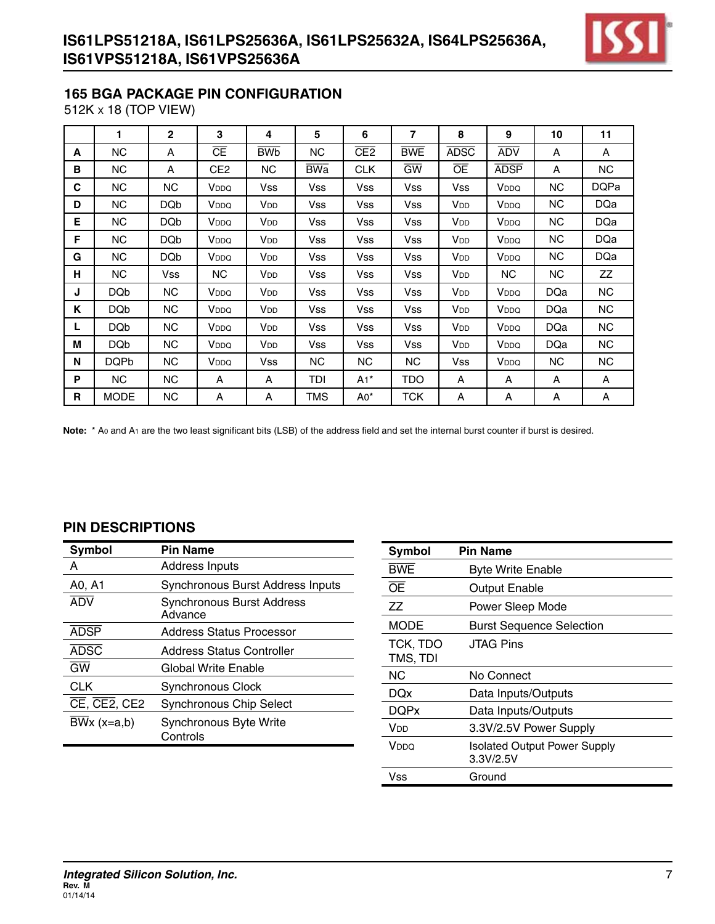

#### **165 BGA PACKAGE PIN CONFIGURATION**

512K x 18 (TOP VIEW)

|   | 1               | $\mathbf{2}$    | 3                | 4                      | 5          | 6          | $\overline{7}$  | 8                     | 9                | 10         | 11          |
|---|-----------------|-----------------|------------------|------------------------|------------|------------|-----------------|-----------------------|------------------|------------|-------------|
| A | ΝC              | A               | Œ                | <b>BW<sub>b</sub></b>  | NС         | CE2        | <b>BWE</b>      | <b>ADSC</b>           | <b>ADV</b>       | A          | A           |
| в | NC.             | A               | CE <sub>2</sub>  | NC.                    | <b>BWa</b> | <b>CLK</b> | $\overline{GW}$ | <b>OE</b>             | <b>ADSP</b>      | A          | NC          |
| С | <b>NC</b>       | <b>NC</b>       | V <sub>DDQ</sub> | <b>Vss</b>             | <b>Vss</b> | Vss        | Vss             | <b>Vss</b>            | V <sub>DDQ</sub> | <b>NC</b>  | <b>DQPa</b> |
| D | NC.             | DQ <sub>b</sub> | V <sub>DDQ</sub> | <b>V</b> <sub>DD</sub> | Vss        | Vss        | Vss             | V <sub>DD</sub>       | V <sub>DDQ</sub> | <b>NC</b>  | DQa         |
| E | NC              | DQ <sub>b</sub> | V <sub>DDQ</sub> | V <sub>DD</sub>        | Vss        | Vss        | Vss             | V <sub>DD</sub>       | V <sub>DDQ</sub> | NC.        | <b>DQa</b>  |
| F | NC              | <b>DQb</b>      | V <sub>DDQ</sub> | <b>V<sub>DD</sub></b>  | <b>Vss</b> | Vss        | Vss             | <b>V<sub>DD</sub></b> | V <sub>DDQ</sub> | NC.        | <b>DQa</b>  |
| G | NC              | DQ <sub>b</sub> | V <sub>DDQ</sub> | <b>V</b> <sub>DD</sub> | Vss        | Vss        | Vss             | V <sub>DD</sub>       | V <sub>DDQ</sub> | <b>NC</b>  | <b>DQa</b>  |
| н | NC              | Vss             | NC.              | <b>V</b> <sub>DD</sub> | Vss        | Vss        | Vss             | V <sub>DD</sub>       | NC.              | NC.        | ZZ          |
| J | <b>DQb</b>      | <b>NC</b>       | V <sub>DDQ</sub> | <b>V<sub>DD</sub></b>  | Vss        | Vss        | Vss             | <b>V<sub>DD</sub></b> | V <sub>DDQ</sub> | <b>DQa</b> | NC          |
| Κ | <b>DQb</b>      | NC.             | V <sub>DDQ</sub> | <b>V</b> <sub>DD</sub> | Vss        | Vss        | Vss             | V <sub>DD</sub>       | V <sub>DDQ</sub> | DQa        | NC          |
| L | DQ <sub>b</sub> | NC.             | V <sub>DDQ</sub> | <b>V</b> <sub>DD</sub> | Vss        | Vss        | <b>Vss</b>      | V <sub>DD</sub>       | V <sub>DDQ</sub> | <b>DQa</b> | NC.         |
| M | <b>DQb</b>      | <b>NC</b>       | V <sub>DDQ</sub> | <b>V<sub>DD</sub></b>  | <b>Vss</b> | Vss        | Vss             | <b>V<sub>DD</sub></b> | V <sub>DDQ</sub> | <b>DQa</b> | NC          |
| N | DQPb            | NC.             | V <sub>DDQ</sub> | Vss                    | NC.        | NC         | NC.             | Vss                   | V <sub>DDQ</sub> | NC.        | NC.         |
| P | NC              | <b>NC</b>       | A                | A                      | TDI        | $A1^*$     | TDO             | Α                     | Α                | A          | A           |
| R | <b>MODE</b>     | <b>NC</b>       | A                | A                      | TMS        | $A0^*$     | тск             | Α                     | A                | A          | A           |

Note: \* A<sub>0</sub> and A<sub>1</sub> are the two least significant bits (LSB) of the address field and set the internal burst counter if burst is desired.

| Symbol                                     | <b>Pin Name</b>                           |
|--------------------------------------------|-------------------------------------------|
| А                                          | <b>Address Inputs</b>                     |
| A0, A1                                     | Synchronous Burst Address Inputs          |
| <b>ADV</b>                                 | Synchronous Burst Address<br>Advance      |
| <b>ADSP</b>                                | Address Status Processor                  |
| <b>ADSC</b>                                | Address Status Controller                 |
| <b>GW</b>                                  | Global Write Enable                       |
| <b>CLK</b>                                 | <b>Synchronous Clock</b>                  |
| $\overline{CE}$ , $\overline{CE2}$ , $CE2$ | <b>Synchronous Chip Select</b>            |
| $BWx (x=a,b)$                              | <b>Synchronous Byte Write</b><br>Controls |

| <b>Symbol</b>        | <b>Pin Name</b>                                  |
|----------------------|--------------------------------------------------|
| <b>BWE</b>           | <b>Byte Write Enable</b>                         |
| ŌE                   | <b>Output Enable</b>                             |
| ΖZ                   | Power Sleep Mode                                 |
| <b>MODE</b>          | <b>Burst Sequence Selection</b>                  |
| TCK, TDO<br>TMS, TDI | <b>JTAG Pins</b>                                 |
|                      |                                                  |
| <b>NC</b>            | No Connect                                       |
| <b>DQx</b>           | Data Inputs/Outputs                              |
| <b>DOPx</b>          | Data Inputs/Outputs                              |
| V <sub>DD</sub>      | 3.3V/2.5V Power Supply                           |
| V <sub>DDQ</sub>     | <b>Isolated Output Power Supply</b><br>3.3V/2.5V |
| Vss                  | Ground                                           |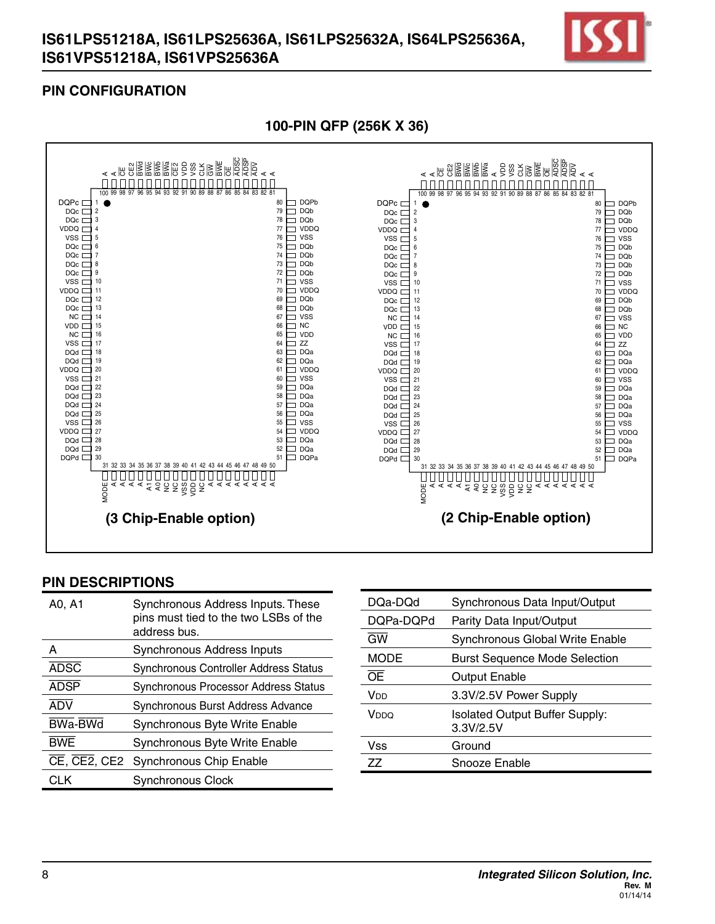

## **PIN CONFIGURATION**



#### **100-Pin QFP (256K x 36)**

| A0, A1                       | Synchronous Address Inputs. These<br>pins must tied to the two LSBs of the<br>address bus. |
|------------------------------|--------------------------------------------------------------------------------------------|
| А                            | Synchronous Address Inputs                                                                 |
| <b>ADSC</b>                  | <b>Synchronous Controller Address Status</b>                                               |
| <b>ADSP</b>                  | Synchronous Processor Address Status                                                       |
| <b>ADV</b>                   | Synchronous Burst Address Advance                                                          |
| <b>BWa-BWd</b>               | Synchronous Byte Write Enable                                                              |
| <b>BWE</b>                   | Synchronous Byte Write Enable                                                              |
| $CE, \overline{CE2}$ , $CE2$ | Synchronous Chip Enable                                                                    |
| CI K                         | Synchronous Clock                                                                          |

| DQa-DQd     | Synchronous Data Input/Output                      |
|-------------|----------------------------------------------------|
| DQPa-DQPd   | Parity Data Input/Output                           |
| <b>GW</b>   | <b>Synchronous Global Write Enable</b>             |
| <b>MODE</b> | <b>Burst Sequence Mode Selection</b>               |
| ŌĒ          | <b>Output Enable</b>                               |
| Vnn         | 3.3V/2.5V Power Supply                             |
| Vnno        | <b>Isolated Output Buffer Supply:</b><br>3.3V/2.5V |
| Vss         | Ground                                             |
| 77          | Snooze Enable                                      |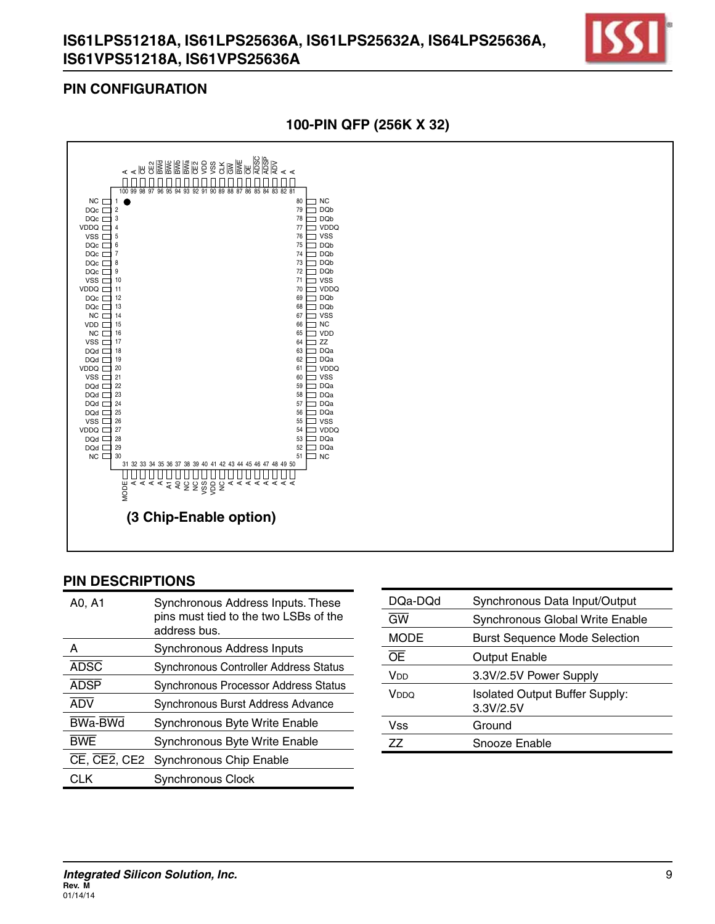

#### **PIN CONFIGURATION**





| A0, A1                                                | Synchronous Address Inputs. These<br>pins must tied to the two LSBs of the<br>address bus. |
|-------------------------------------------------------|--------------------------------------------------------------------------------------------|
| A                                                     | Synchronous Address Inputs                                                                 |
| <b>ADSC</b>                                           | Synchronous Controller Address Status                                                      |
| <b>ADSP</b>                                           | Synchronous Processor Address Status                                                       |
| <b>ADV</b>                                            | Synchronous Burst Address Advance                                                          |
| <b>BWa-BWd</b>                                        | Synchronous Byte Write Enable                                                              |
| <b>BWE</b>                                            | Synchronous Byte Write Enable                                                              |
| $\overline{\text{CE}}$ , $\overline{\text{CE}}$ , CE2 | Synchronous Chip Enable                                                                    |
| CLK                                                   | <b>Synchronous Clock</b>                                                                   |

| DQa-DQd         | Synchronous Data Input/Output                      |
|-----------------|----------------------------------------------------|
| <b>GW</b>       | Synchronous Global Write Enable                    |
| <b>MODE</b>     | <b>Burst Sequence Mode Selection</b>               |
| ŌE              | <b>Output Enable</b>                               |
| V <sub>DD</sub> | 3.3V/2.5V Power Supply                             |
| Vnno            | <b>Isolated Output Buffer Supply:</b><br>3.3V/2.5V |
| Vss             | Ground                                             |
| 77              | Snooze Enable                                      |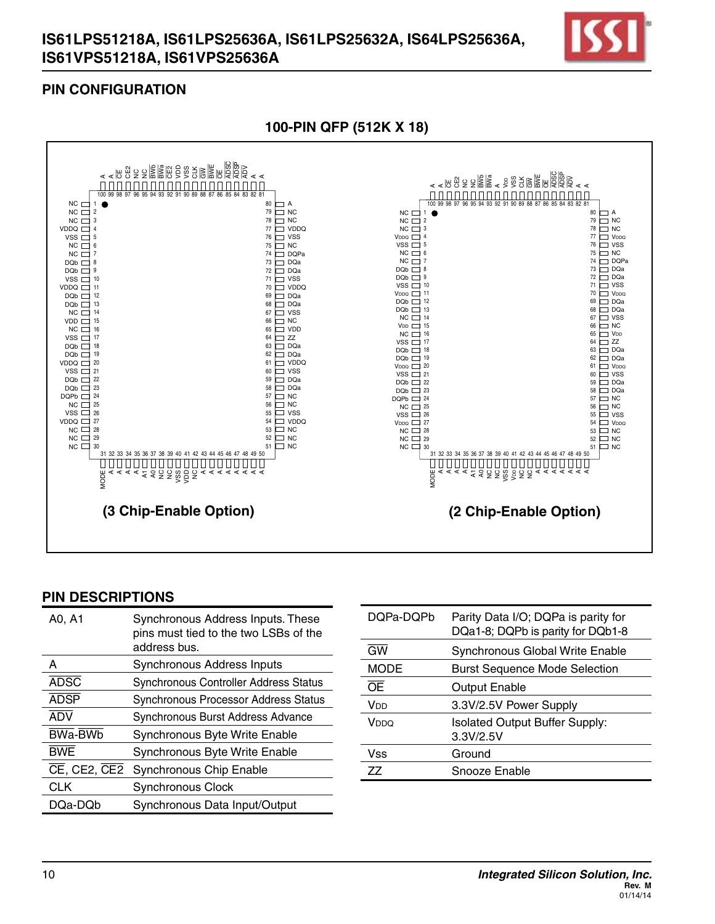

## **PIN CONFIGURATION**



| A0, A1                                  | Synchronous Address Inputs. These<br>pins must tied to the two LSBs of the<br>address bus. |
|-----------------------------------------|--------------------------------------------------------------------------------------------|
| А                                       | Synchronous Address Inputs                                                                 |
| <b>ADSC</b>                             | <b>Synchronous Controller Address Status</b>                                               |
| <b>ADSP</b>                             | Synchronous Processor Address Status                                                       |
| ADV                                     | Synchronous Burst Address Advance                                                          |
| BWa-BWb                                 | Synchronous Byte Write Enable                                                              |
| <b>BWE</b>                              | Synchronous Byte Write Enable                                                              |
| $\overline{CE}$ , CE2, $\overline{CE2}$ | Synchronous Chip Enable                                                                    |
| <b>CLK</b>                              | <b>Synchronous Clock</b>                                                                   |
| DQa-DQb                                 | Synchronous Data Input/Output                                                              |

| DQPa-DQPb   | Parity Data I/O; DQPa is parity for<br>DQa1-8; DQPb is parity for DQb1-8 |
|-------------|--------------------------------------------------------------------------|
| <b>GW</b>   | Synchronous Global Write Enable                                          |
| <b>MODE</b> | <b>Burst Sequence Mode Selection</b>                                     |
| ŌĒ          | Output Enable                                                            |
| Vnn         | 3.3V/2.5V Power Supply                                                   |
| Vnno        | <b>Isolated Output Buffer Supply:</b><br>3.3V/2.5V                       |
| Vss         | Ground                                                                   |
| 77          | Snooze Enable                                                            |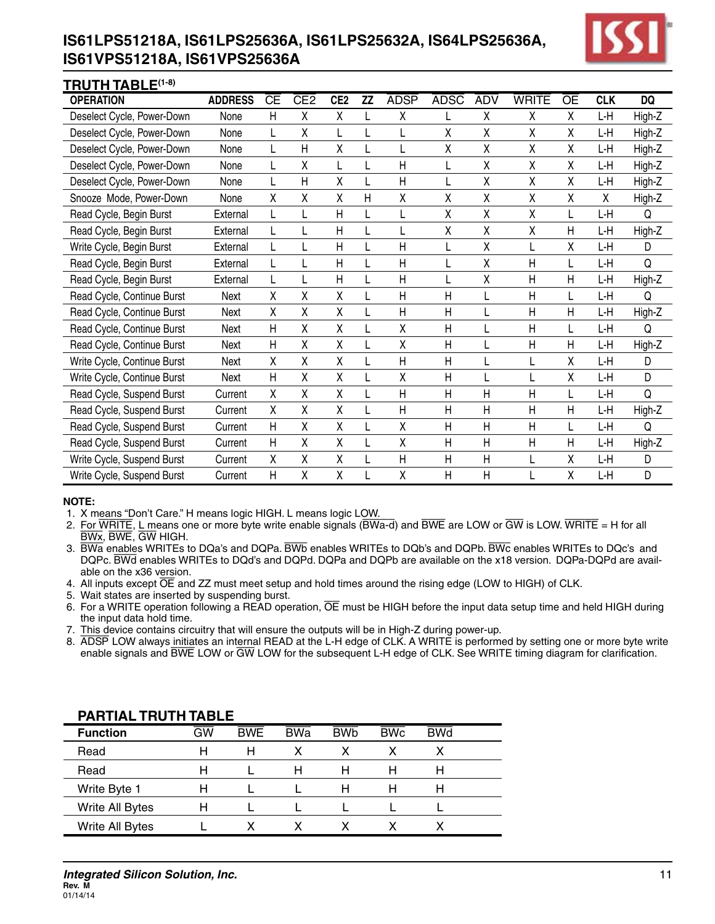# **IS61LPS51218A, IS61LPS25636A, IS61LPS25632A, IS64LPS25636A, IS61VPS51218A, IS61VPS25636A**



#### **TRUTH TABLE(1-8)**

| . <u>. .</u> .              |                 |                        |                 |                 |           |              |             |              |                |           |            |           |
|-----------------------------|-----------------|------------------------|-----------------|-----------------|-----------|--------------|-------------|--------------|----------------|-----------|------------|-----------|
| <b>OPERATION</b>            | <b>ADDRESS</b>  | $\overline{\text{CE}}$ | CE <sub>2</sub> | CE <sub>2</sub> | <b>ZZ</b> | <b>ADSP</b>  | <b>ADSC</b> | <b>ADV</b>   | <b>WRITE</b>   | <b>OE</b> | <b>CLK</b> | <b>DQ</b> |
| Deselect Cycle, Power-Down  | None            | $\mathsf{H}$           | χ               | χ               |           | X            |             | Χ            | χ              | χ         | ĿΗ         | High-Z    |
| Deselect Cycle, Power-Down  | None            |                        | χ               |                 |           |              | χ           | χ            | χ              | χ         | ĿΗ         | High-Z    |
| Deselect Cycle, Power-Down  | None            |                        | Н               | χ               |           |              | χ           | χ            | χ              | X         | L-H        | High-Z    |
| Deselect Cycle, Power-Down  | None            | L                      | χ               |                 |           | H            |             | χ            | Χ              | χ         | L-H        | High-Z    |
| Deselect Cycle, Power-Down  | None            |                        | $\mathsf{H}$    | χ               |           | $\mathsf{H}$ |             | χ            | χ              | χ         | L-H        | High-Z    |
| Snooze Mode, Power-Down     | None            | Χ                      | χ               | χ               | H         | Χ            | χ           | χ            | Χ              | χ         | X          | High-Z    |
| Read Cycle, Begin Burst     | <b>External</b> | L                      | L               | Η               |           | L            | X           | Χ            | χ              | L         | L-H        | Q         |
| Read Cycle, Begin Burst     | External        |                        |                 | Η               |           |              | Χ           | χ            | Χ              | Н         | L-H        | High-Z    |
| Write Cycle, Begin Burst    | External        | L                      |                 | Η               |           | H            |             | χ            |                | χ         | L-H        | D         |
| Read Cycle, Begin Burst     | External        | L                      | L               | Η               |           | H            |             | X            | $\mathsf{H}$   | L         | L-H        | Q         |
| Read Cycle, Begin Burst     | External        | L                      |                 | Η               |           | H            |             | χ            | $\mathsf{H}$   | Η         | L-H        | High-Z    |
| Read Cycle, Continue Burst  | Next            | χ                      | χ               | χ               |           | H            | Η           | L            | $\mathsf{H}$   | L         | ĿΗ         | Q         |
| Read Cycle, Continue Burst  | Next            | Χ                      | χ               | χ               |           | $\mathsf{H}$ | Η           |              | $\mathsf{H}$   | Η         | L-H        | High-Z    |
| Read Cycle, Continue Burst  | Next            | $\mathsf{H}$           | χ               | χ               |           | χ            | Η           | L            | $\mathsf{H}$   | L         | L-H        | Q         |
| Read Cycle, Continue Burst  | Next            | Η                      | χ               | χ               |           | χ            | Η           | L            | $\mathsf{H}$   | Η         | L-H        | High-Z    |
| Write Cycle, Continue Burst | Next            | Χ                      | χ               | Χ               |           | H            | Н           |              |                | Χ         | L-H        | D         |
| Write Cycle, Continue Burst | Next            | H                      | Χ               | χ               |           | Χ            | Η           |              |                | χ         | L-H        | D         |
| Read Cycle, Suspend Burst   | Current         | Χ                      | χ               | χ               |           | H            | Η           | $\mathsf{H}$ | $\mathsf{H}$   |           | L-H        | Q         |
| Read Cycle, Suspend Burst   | Current         | χ                      | χ               | Χ               |           | H            | Η           | $\mathsf{H}$ | $\overline{H}$ | Н         | L-H        | High-Z    |
| Read Cycle, Suspend Burst   | Current         | $\mathsf{H}$           | χ               | χ               |           | χ            | Η           | $\mathsf{H}$ | $\mathsf{H}$   | L         | ĿΗ         | Q         |
| Read Cycle, Suspend Burst   | Current         | $\mathsf{H}$           | χ               | χ               |           | Χ            | Η           | H            | $\overline{H}$ | Η         | ĿΗ         | High-Z    |
| Write Cycle, Suspend Burst  | Current         | χ                      | χ               | χ               |           | H            | Η           | $\mathsf{H}$ |                | χ         | L-H        | D         |
| Write Cycle, Suspend Burst  | Current         | $\mathsf{H}$           | χ               | χ               |           | χ            | Η           | $\mathsf{H}$ |                | Χ         | L-H        | D         |

#### **NOTE:**

1. X means "Don't Care." H means logic HIGH. L means logic LOW.

- 2. For WRITE, L means one or more byte write enable signals ( $\overline{BWa-d}$ ) and  $\overline{BWE}$  are LOW or  $\overline{GW}$  is LOW. WRITE = H for all BWx, BWE, GW HIGH.
- 3. BWa enables WRITEs to DQa's and DQPa. BWb enables WRITEs to DQb's and DQPb. BWc enables WRITEs to DQc's and DQPc. BWd enables WRITEs to DQd's and DQPd. DQPa and DQPb are available on the x18 version. DQPa-DQPd are available on the x36 version.
- 4. All inputs except  $\overline{OE}$  and ZZ must meet setup and hold times around the rising edge (LOW to HIGH) of CLK.
- 5. Wait states are inserted by suspending burst.
- 6. For a WRITE operation following a READ operation,  $\overline{OE}$  must be HIGH before the input data setup time and held HIGH during the input data hold time.
- 7. This device contains circuitry that will ensure the outputs will be in High-Z during power-up.
- 8. ADSP LOW always initiates an internal READ at the L-H edge of CLK. A WRITE is performed by setting one or more byte write enable signals and BWE LOW or GW LOW for the subsequent L-H edge of CLK. See WRITE timing diagram for clarification.

| , ARTAL IRV III IADEE |                          |            |            |            |            |            |  |
|-----------------------|--------------------------|------------|------------|------------|------------|------------|--|
| <b>Function</b>       | $\overline{\mathsf{GW}}$ | <b>BWE</b> | <b>BWa</b> | <b>BWb</b> | <b>BWc</b> | <b>BWd</b> |  |
| Read                  | H                        | Н          | x          |            |            |            |  |
| Read                  | H                        |            | н          | н          | н          | н          |  |
| Write Byte 1          | H                        |            |            | н          | н          | н          |  |
| Write All Bytes       |                          |            |            |            |            |            |  |
| Write All Bytes       |                          |            |            |            |            |            |  |

## **PARTIAL TRUTH TABLE**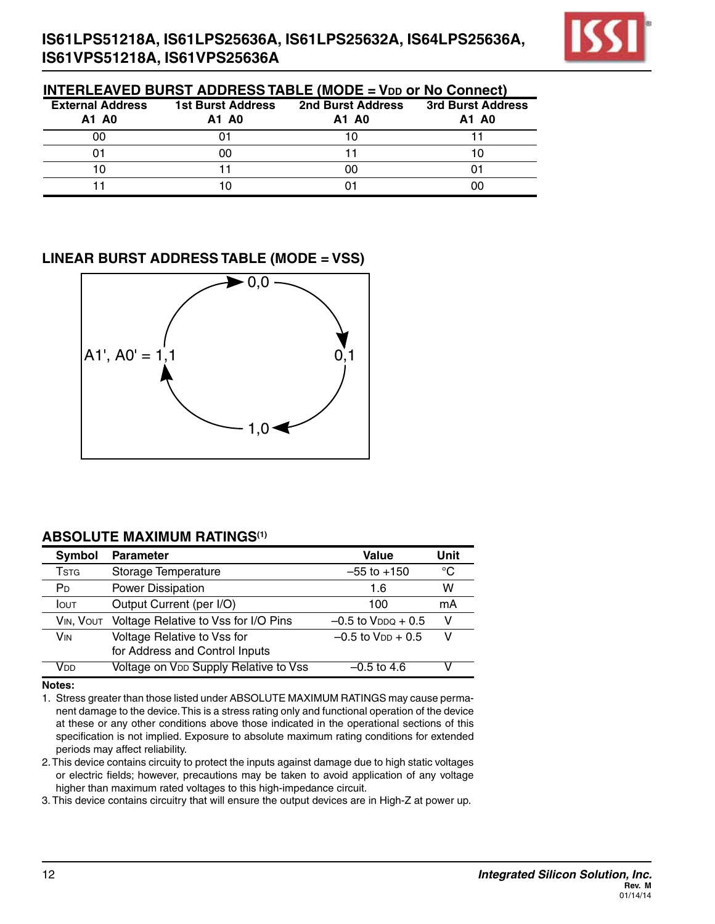

| <b>INTERLEAVED BURST ADDRESS TABLE (MODE = VDD OF NO CONNECT)</b> |                                   |                            |                            |  |  |  |  |
|-------------------------------------------------------------------|-----------------------------------|----------------------------|----------------------------|--|--|--|--|
| <b>External Address</b><br>A1 A0                                  | <b>1st Burst Address</b><br>A1 A0 | 2nd Burst Address<br>A1 A0 | 3rd Burst Address<br>A1 A0 |  |  |  |  |
| 00                                                                |                                   | 10                         |                            |  |  |  |  |
| 01                                                                | იი                                |                            |                            |  |  |  |  |
| 10                                                                |                                   | იი                         |                            |  |  |  |  |
|                                                                   |                                   |                            |                            |  |  |  |  |

#### **LINEAR BURST ADDRESS TABLE (MODE = Vss)**



#### **ABSOLUTE MAXIMUM RATINGS(1)**

| Symbol                   | <b>Parameter</b>                                              | Value                     | Unit |
|--------------------------|---------------------------------------------------------------|---------------------------|------|
| <b>T</b> st <sub>G</sub> | Storage Temperature                                           | $-55$ to $+150$           | °C   |
| P <sub>D</sub>           | Power Dissipation                                             | 1.6                       | w    |
| <b>I</b> OUT             | Output Current (per I/O)                                      | 100                       | mA   |
| VIN, VOUT                | Voltage Relative to Vss for I/O Pins                          | $-0.5$ to $V_{DDO} + 0.5$ | v    |
| <b>V<sub>IN</sub></b>    | Voltage Relative to Vss for<br>for Address and Control Inputs | $-0.5$ to $V_{DD} + 0.5$  | v    |
| Vnn                      | Voltage on VDD Supply Relative to Vss                         | $-0.5$ to 4.6             |      |

**Notes:**

1. Stress greater than those listed under ABSOLUTE MAXIMUM RATINGS may cause permanent damage to the device.This is a stress rating only and functional operation of the device at these or any other conditions above those indicated in the operational sections of this specification is not implied. Exposure to absolute maximum rating conditions for extended periods may affect reliability.

2.This device contains circuity to protect the inputs against damage due to high static voltages or electric fields; however, precautions may be taken to avoid application of any voltage higher than maximum rated voltages to this high-impedance circuit.

3. This device contains circuitry that will ensure the output devices are in High-Z at power up.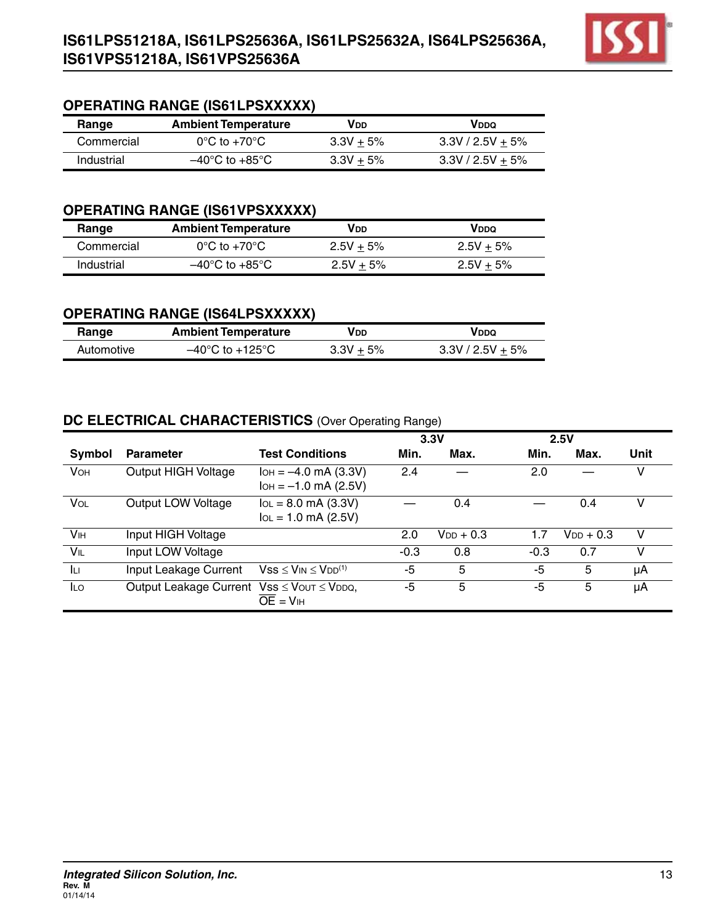

# **OPERATING RANGE (IS61LPSXXXXX)**

| Range      | <b>Ambient Temperature</b>         | VDD         | VddQ               |
|------------|------------------------------------|-------------|--------------------|
| Commercial | $0^{\circ}$ C to +70 $^{\circ}$ C  | $3.3V + 5%$ | $3.3V / 2.5V + 5%$ |
| Industrial | $-40^{\circ}$ C to $+85^{\circ}$ C | $3.3V + 5%$ | $3.3V / 2.5V + 5%$ |

## **OPERATING RANGE (IS61VPSXXXXX)**

| Range      | <b>Ambient Temperature</b>         | VDD         | VddQ         |
|------------|------------------------------------|-------------|--------------|
| Commercial | $0^{\circ}$ C to +70 $^{\circ}$ C  | $2.5V + 5%$ | $2.5V + 5\%$ |
| Industrial | $-40^{\circ}$ C to $+85^{\circ}$ C | $2.5V + 5%$ | $2.5V + 5%$  |

## **OPERATING RANGE (IS64LPSXXXXX)**

| Range      | <b>Ambient Temperature</b>          | VDD         | VddQ               |
|------------|-------------------------------------|-------------|--------------------|
| Automotive | $-40^{\circ}$ C to $+125^{\circ}$ C | $3.3V + 5%$ | $3.3V / 2.5V + 5%$ |

## **DC ELECTRICAL CHARACTERISTICS** (Over Operating Range)

|                       |                                           |                                                        | 3.3V   |                |        | 2.5V           |      |
|-----------------------|-------------------------------------------|--------------------------------------------------------|--------|----------------|--------|----------------|------|
| Symbol                | <b>Parameter</b>                          | <b>Test Conditions</b>                                 | Min.   | Max.           | Min.   | Max.           | Unit |
| <b>VOH</b>            | Output HIGH Voltage                       | $I_{OH} = -4.0$ mA (3.3V)<br>$I$ OH = $-1.0$ mA (2.5V) | 2.4    |                | 2.0    |                | v    |
| VOL                   | Output LOW Voltage                        | $I_{OL} = 8.0$ mA (3.3V)<br>$I_{OL} = 1.0$ mA (2.5V)   |        | 0.4            |        | 0.4            | v    |
| <b>V<sub>IH</sub></b> | Input HIGH Voltage                        |                                                        | 2.0    | $V_{DD}$ + 0.3 | 1.7    | $V_{DD} + 0.3$ | v    |
| VIL                   | Input LOW Voltage                         |                                                        | $-0.3$ | 0.8            | $-0.3$ | 0.7            | v    |
| ĪЦ                    | Input Leakage Current                     | $Vss \leq V_{IN} \leq V_{DD}^{(1)}$                    | -5     | 5              | -5     | 5              | μA   |
| <b>ILO</b>            | Output Leakage Current Vss ≤ Vout ≤ VDDQ, | $\overline{OF}$ = $VIH$                                | -5     | 5              | -5     | 5              | μA   |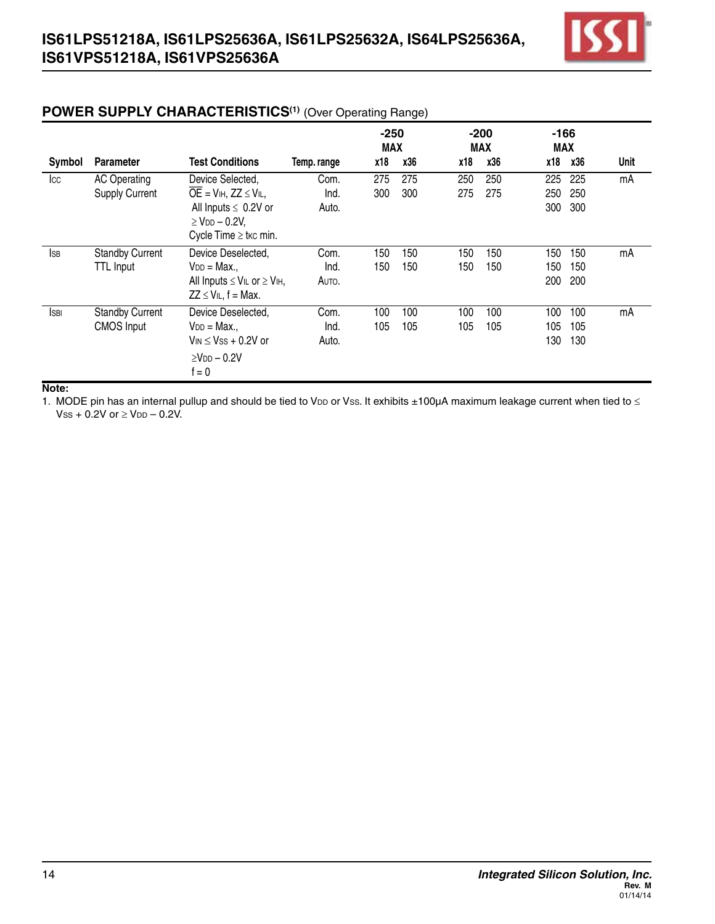

|              |                        |                                                                                                  |             |                      | $\sim$ $\prime$ |     |                      |                      |     |      |
|--------------|------------------------|--------------------------------------------------------------------------------------------------|-------------|----------------------|-----------------|-----|----------------------|----------------------|-----|------|
|              |                        |                                                                                                  |             | $-250$<br><b>MAX</b> |                 |     | $-200$<br><b>MAX</b> | $-166$<br><b>MAX</b> |     |      |
| Symbol       | <b>Parameter</b>       | <b>Test Conditions</b>                                                                           | Temp. range | x18                  | x36             | x18 | x36                  | x18                  | x36 | Unit |
| Icc          | <b>AC Operating</b>    | Device Selected,                                                                                 | Com.        | 275                  | 275             | 250 | 250                  | 225                  | 225 | mA   |
|              | <b>Supply Current</b>  | $\overline{OE}$ = V <sub>IH</sub> , ZZ $\leq$ V <sub>IL</sub> ,                                  | Ind.        | 300                  | 300             | 275 | 275                  | 250                  | 250 |      |
|              |                        | All Inputs $\leq 0.2V$ or<br>$\geq$ V <sub>DD</sub> $-$ 0.2V,                                    | Auto.       |                      |                 |     |                      | 300                  | 300 |      |
|              |                        | Cycle Time $\geq$ tkc min.                                                                       |             |                      |                 |     |                      |                      |     |      |
| <b>I</b> SB  | <b>Standby Current</b> | Device Deselected,                                                                               | Com.        | 150                  | 150             | 150 | 150                  | 150                  | 150 | mA   |
|              | <b>TTL Input</b>       | $V_{DD} = Max.,$                                                                                 | Ind.        | 150                  | 150             | 150 | 150                  | 150                  | 150 |      |
|              |                        | All Inputs $\leq$ V <sub>IL</sub> or $\geq$ V <sub>IH</sub> ,<br>$ZZ \leq V \rvert L$ , f = Max. | Auto.       |                      |                 |     |                      | 200                  | 200 |      |
| <b>I</b> SBI | <b>Standby Current</b> | Device Deselected,                                                                               | Com.        | 100                  | 100             | 100 | 100                  | 100                  | 100 | mA   |
|              | <b>CMOS Input</b>      | $V_{DD} = Max.$                                                                                  | Ind.        | 105                  | 105             | 105 | 105                  | 105                  | 105 |      |
|              |                        | $V_{IN}$ $<$ $V_{SS}$ $+$ 0.2V or                                                                | Auto.       |                      |                 |     |                      | 130                  | 130 |      |
|              |                        | $>$ Vnn – 0.2V<br>$f = 0$                                                                        |             |                      |                 |     |                      |                      |     |      |

# **POWER SUPPLY CHARACTERISTICS<sup>(1)</sup>** (Over Operating Range)

**Note:**

1. MODE pin has an internal pullup and should be tied to VDD or Vss. It exhibits ±100µA maximum leakage current when tied to  $\leq$  $Vss + 0.2V$  or  $\geq VDD - 0.2V$ .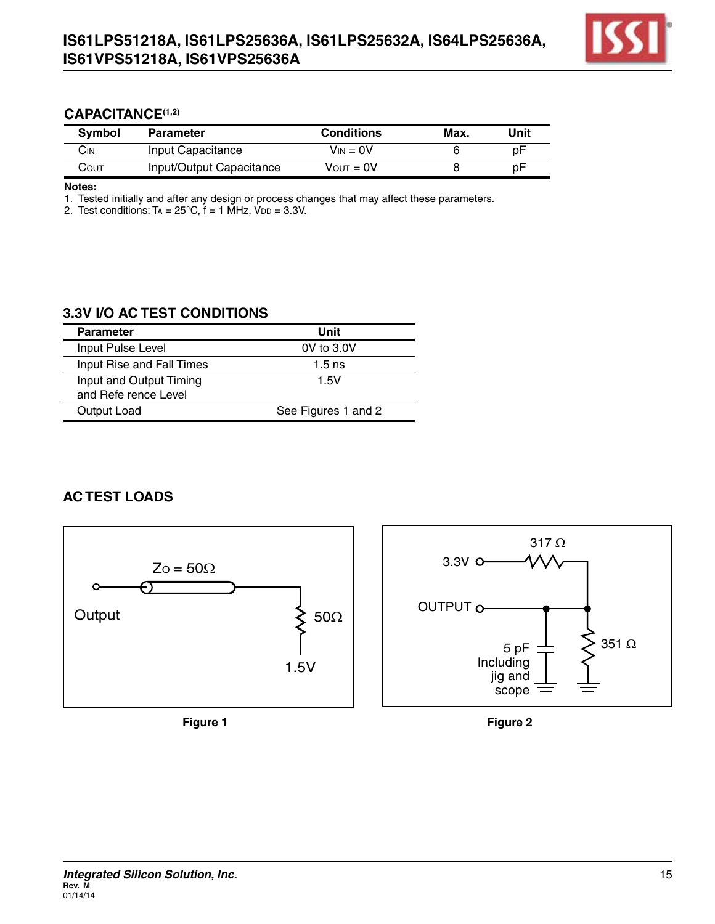

#### **CAPACITANCE(1,2)**

| <b>Symbol</b> | <b>Parameter</b>         | <b>Conditions</b> | Max. | Unit |
|---------------|--------------------------|-------------------|------|------|
| CіN           | Input Capacitance        | $V_{IN} = 0V$     |      | рF   |
| Соит          | Input/Output Capacitance | Vουτ = 0V         |      | рF   |

**Notes:**

1. Tested initially and after any design or process changes that may affect these parameters.

2. Test conditions:  $Ta = 25^{\circ}C$ ,  $f = 1$  MHz,  $V_{DD} = 3.3V$ .

## **3.3V I/O AC TEST CONDITIONS**

| <b>Parameter</b>                                | Unit                |
|-------------------------------------------------|---------------------|
| Input Pulse Level                               | 0V to 3.0V          |
| Input Rise and Fall Times                       | $1.5$ ns            |
| Input and Output Timing<br>and Refe rence Level | 1.5V                |
| Output Load                                     | See Figures 1 and 2 |

## **AC TEST LOADS**



**Figure 1**



**Figure 2**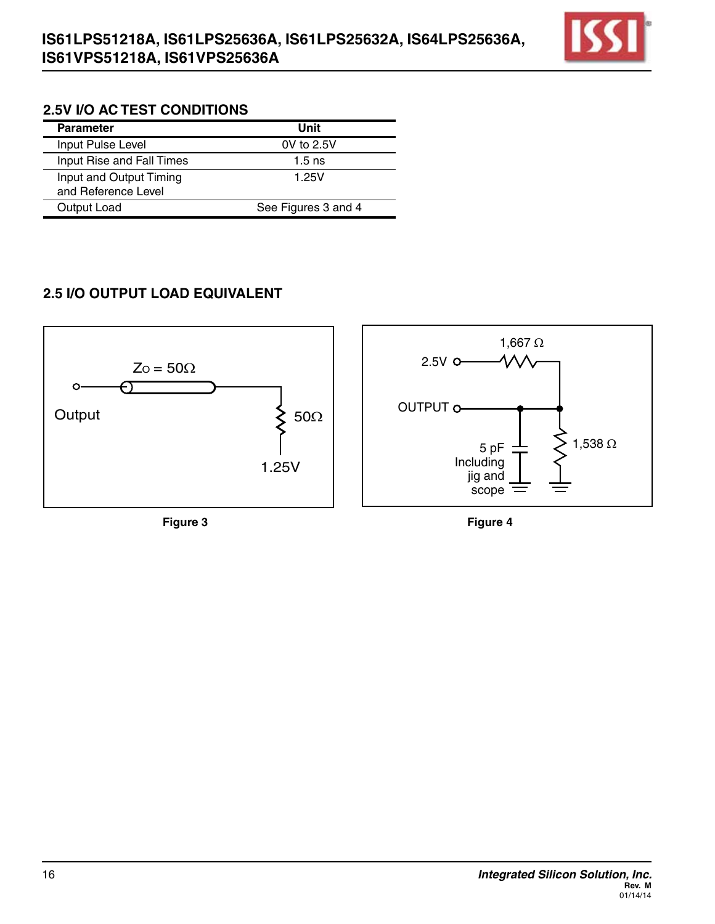

## **2.5V I/O AC TEST CONDITIONS**

| <b>Parameter</b>                               | Unit                |
|------------------------------------------------|---------------------|
| Input Pulse Level                              | $0V$ to $2.5V$      |
| Input Rise and Fall Times                      | $1.5$ ns            |
| Input and Output Timing<br>and Reference Level | 1.25V               |
| Output Load                                    | See Figures 3 and 4 |

# **2.5 I/O OUTPUT LOAD EQUIVALENT**

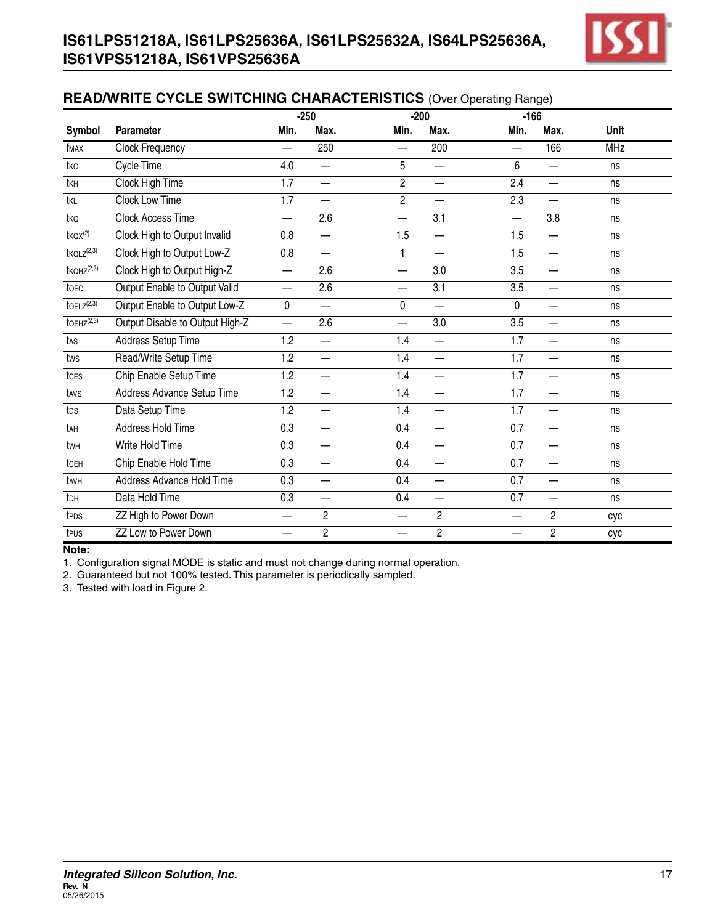

## **READ/WRITE CYCLE SWITCHING CHARACTERISTICS** (Over Operating Range)

|                                  |                                 |                          | $-250$                   |                          | $-200$                   | $-166$                   |                          |            |
|----------------------------------|---------------------------------|--------------------------|--------------------------|--------------------------|--------------------------|--------------------------|--------------------------|------------|
| Symbol                           | <b>Parameter</b>                | Min.                     | Max.                     | Min.                     | Max.                     | Min.                     | Max.                     | Unit       |
| fMAX                             | <b>Clock Frequency</b>          | $\overline{\phantom{0}}$ | 250                      | $\overline{\phantom{0}}$ | 200                      | $\overline{\phantom{0}}$ | 166                      | <b>MHz</b> |
| tkc                              | <b>Cycle Time</b>               | 4.0                      | —                        | $\overline{5}$           | —                        | 6                        | —                        | ns         |
| tkh                              | <b>Clock High Time</b>          | $\overline{1.7}$         | —                        | $\overline{2}$           | $\overline{\phantom{0}}$ | 2.4                      | —                        | ns         |
| tkl                              | <b>Clock Low Time</b>           | $\overline{1.7}$         | $\overline{\phantom{0}}$ | $\overline{2}$           | $\overline{\phantom{0}}$ | 2.3                      | $\overline{\phantom{0}}$ | ns         |
| tkQ                              | <b>Clock Access Time</b>        | $\overline{\phantom{0}}$ | 2.6                      | $\overline{\phantom{0}}$ | 3.1                      | $\overline{\phantom{0}}$ | 3.8                      | ns         |
| $t$ <sub>KQX</sub> $(2)$         | Clock High to Output Invalid    | 0.8                      |                          | 1.5                      | $\overline{\phantom{0}}$ | 1.5                      | $\overline{\phantom{0}}$ | ns         |
| $t$ KQL $Z^{(2,3)}$              | Clock High to Output Low-Z      | 0.8                      | —                        | $\overline{1}$           | $\overline{\phantom{0}}$ | 1.5                      | —                        | ns         |
| $t$ KQHZ $(2,3)$                 | Clock High to Output High-Z     | $\overline{\phantom{0}}$ | 2.6                      | $\overline{\phantom{0}}$ | 3.0                      | 3.5                      | $\overline{\phantom{0}}$ | ns         |
| to <sub>EQ</sub>                 | Output Enable to Output Valid   | $\overline{\phantom{0}}$ | 2.6                      | $\overline{\phantom{0}}$ | $\overline{3.1}$         | 3.5                      | $\overline{\phantom{0}}$ | ns         |
| $\overline{{\sf toELZ}^{(2,3)}}$ | Output Enable to Output Low-Z   | $\pmb{0}$                | $\overline{\phantom{0}}$ | 0                        | $\overline{\phantom{0}}$ | $\overline{0}$           | $\overline{\phantom{0}}$ | ns         |
| $toEHZ^{(2,3)}$                  | Output Disable to Output High-Z | $\overline{\phantom{0}}$ | 2.6                      |                          | 3.0                      | 3.5                      | $\overline{\phantom{0}}$ | ns         |
| tas                              | <b>Address Setup Time</b>       | $\overline{1.2}$         | $\overline{\phantom{0}}$ | 1.4                      | $\overline{\phantom{0}}$ | 1.7                      | $\overline{\phantom{0}}$ | ns         |
| tws                              | Read/Write Setup Time           | 1.2                      | —                        | 1.4                      | $\overline{\phantom{0}}$ | 1.7                      | $\overline{\phantom{0}}$ | ns         |
| tcEs                             | Chip Enable Setup Time          | 1.2                      | —                        | 1.4                      | $\overline{\phantom{0}}$ | 1.7                      | $\overline{\phantom{0}}$ | ns         |
| tavs                             | Address Advance Setup Time      | 1.2                      | —                        | 1.4                      | —                        | 1.7                      | —                        | ns         |
| tss                              | ADSP, ADSC Setup Time           | 1.2                      | —                        | 1.4                      | —                        | 1.7                      | —                        | ns         |
| tps                              | Data Setup Time                 | 1.2                      | $\overline{\phantom{0}}$ | 1.4                      |                          | 1.7                      | —                        | ns         |
| tah                              | Address Hold Time               | 0.3                      | $\overline{\phantom{0}}$ | 0.4                      | $\overline{\phantom{0}}$ | 0.7                      | $\overline{\phantom{0}}$ | ns         |
| twh                              | Write Hold Time                 | 0.3                      | —                        | 0.4                      | $\overline{\phantom{0}}$ | 0.7                      | $\overline{\phantom{0}}$ | ns         |
| tcEH                             | Chip Enable Hold Time           | 0.3                      | —                        | 0.4                      | $\overline{\phantom{0}}$ | 0.7                      | —                        | ns         |
| tavh                             | Address Advance Hold Time       | 0.3                      | —                        | 0.4                      | —                        | 0.7                      |                          | ns         |
| tsh                              | ADSP, ADSC Hold Time            | 0.3                      | $\overline{\phantom{0}}$ | 0.4                      | —                        | 0.7                      | $\overline{\phantom{0}}$ | ns         |
| t <sub>DH</sub>                  | Data Hold Time                  | 0.3                      | —                        | 0.4                      | $\overline{\phantom{0}}$ | 0.7                      | —                        | ns         |
| t <sub>PDS</sub>                 | ZZ High to Power Down           | $\overline{\phantom{0}}$ | $\overline{c}$           | $\overline{\phantom{0}}$ | $\overline{c}$           | $\overline{\phantom{0}}$ | 2                        | cyc        |
| tpus                             | ZZ Low to Power Down            | —                        | $\sqrt{2}$               | —                        | $\overline{2}$           | —                        | $\overline{c}$           | cyc        |

#### **Note:**

1. Configuration signal MODE is static and must not change during normal operation.

2. Guaranteed but not 100% tested. This parameter is periodically sampled.

3. Tested with load in Figure 2.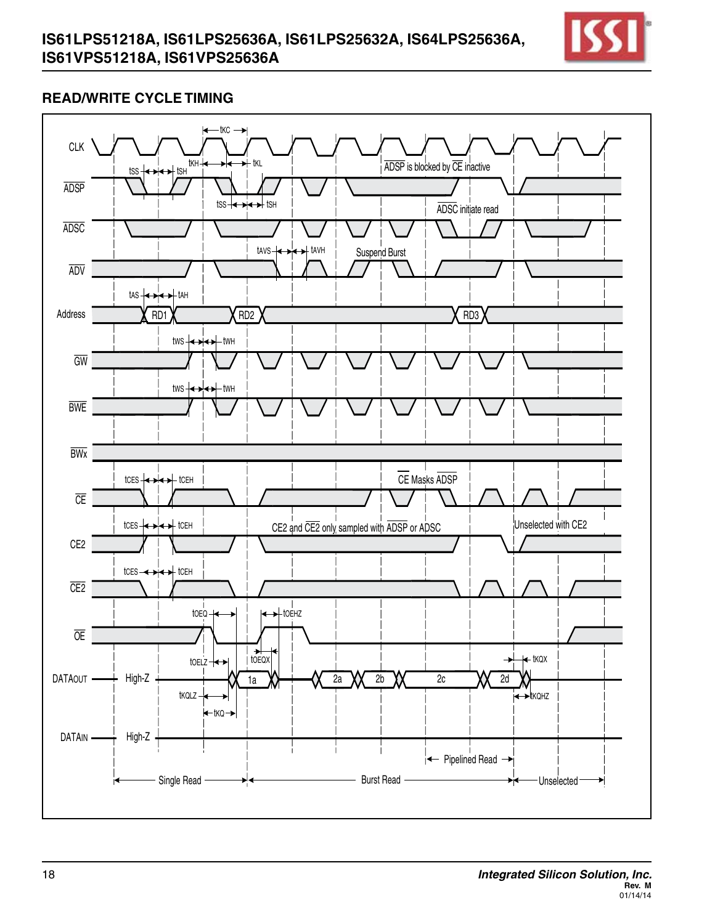

## **READ/WRITE CYCLE TIMING**

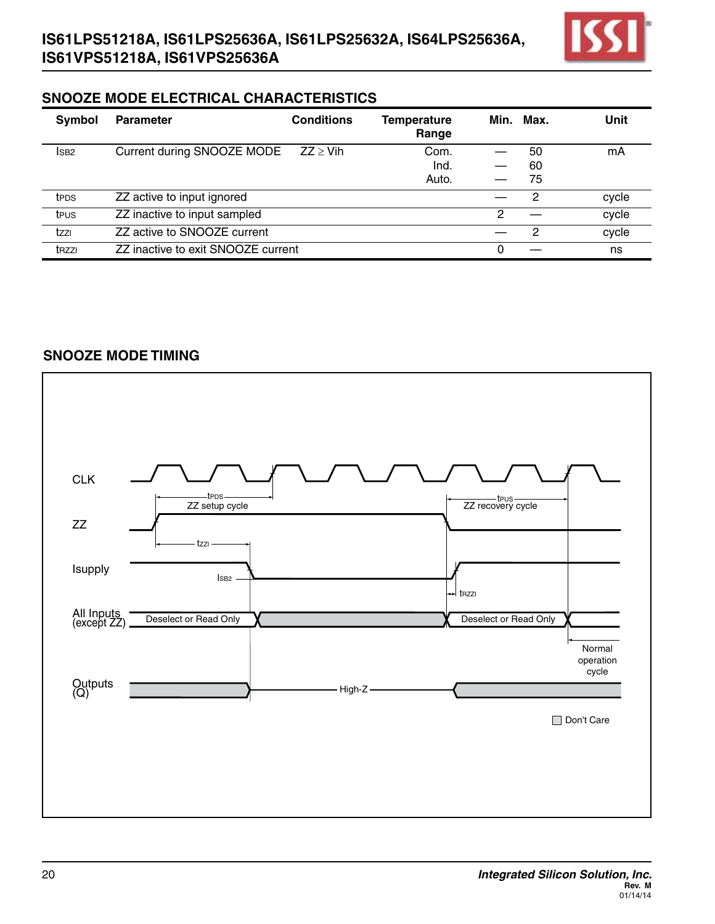

## **SNOOZE MODE ELECTRICAL CHARACTERISTICS**

| Symbol            | <b>Parameter</b>                   | <b>Conditions</b> | <b>Temperature</b><br>Range |   | Min. Max. | Unit  |
|-------------------|------------------------------------|-------------------|-----------------------------|---|-----------|-------|
| ISB <sub>2</sub>  | Current during SNOOZE MODE         | $ZZ \geq Vih$     | Com.                        |   | 50        | mA    |
|                   |                                    |                   | Ind.                        |   | 60        |       |
|                   |                                    |                   | Auto.                       |   | 75        |       |
| t <sub>PDS</sub>  | ZZ active to input ignored         |                   |                             |   | 2         | cycle |
| teus              | ZZ inactive to input sampled       |                   |                             | 2 |           | cycle |
| tzzı              | ZZ active to SNOOZE current        |                   |                             |   | 2         | cycle |
| t <sub>RZZI</sub> | ZZ inactive to exit SNOOZE current |                   |                             | 0 |           | ns    |

## **SNOOZE MODE TIMING**

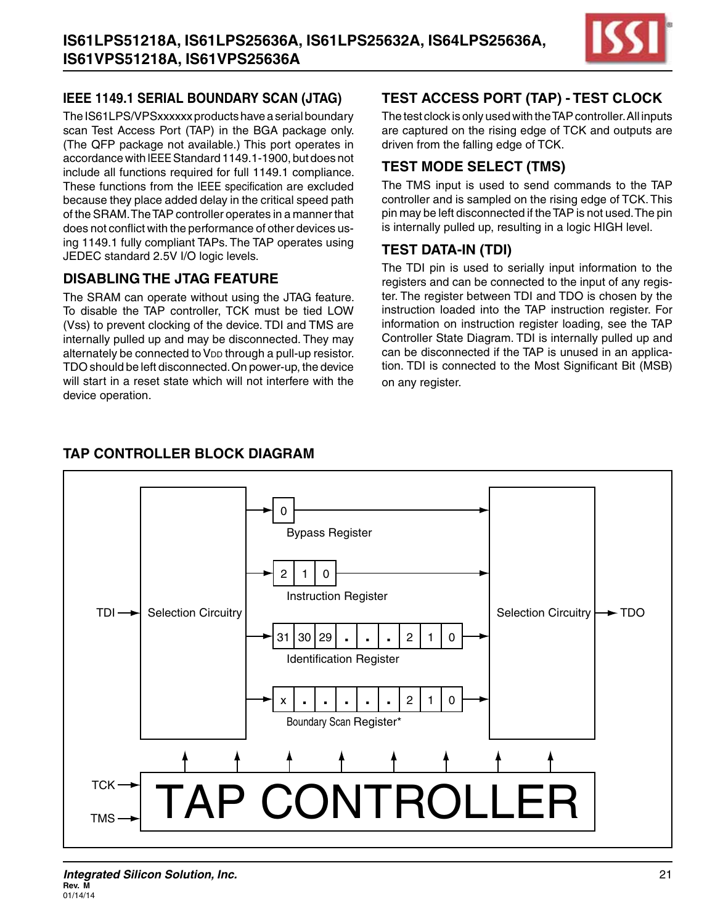

## **IEEE 1149.1 Serial Boundary Scan (JTAG)**

The IS61LPS/VPSxxxxxx products have a serial boundary scan Test Access Port (TAP) in the BGA package only. (The QFP package not available.) This port operates in accordance with IEEEStandard 1149.1-1900, but does not include all functions required for full 1149.1 compliance. These functions from the IEEE specification are excluded because they place added delay in the critical speed path of the SRAM. The TAP controller operates in a manner that does not conflict with the performance of other devices using 1149.1 fully compliant TAPs. The TAP operates using JEDEC standard 2.5V I/O logic levels.

## **Disabling the JTAG Feature**

The SRAM can operate without using the JTAG feature. To disable the TAP controller, TCK must be tied LOW (Vss) to prevent clocking of the device. TDI and TMS are internally pulled up and may be disconnected. They may alternately be connected to VDD through a pull-up resistor. TDO should be left disconnected.On power-up, the device will start in a reset state which will not interfere with the device operation.

## **Test Access Port (TAP) - Test Clock**

The test clock is only used with the TAP controller. All inputs are captured on the rising edge of TCK and outputs are driven from the falling edge of TCK.

## **Test Mode Select (TMS)**

The TMS input is used to send commands to the TAP controller and is sampled on the rising edge of TCK. This pin may be left disconnected if theTAP is not used.The pin is internally pulled up, resulting in a logic HIGH level.

## **Test Data -In (TDI)**

The TDI pin is used to serially input information to the registers and can be connected to the input of any register. The register between TDI and TDO is chosen by the instruction loaded into the TAP instruction register. For information on instruction register loading, see the TAP Controller State Diagram. TDI is internally pulled up and can be disconnected if the TAP is unused in an application. TDI is connected to the Most Significant Bit (MSB) on any register.



## **tap controller block diagram**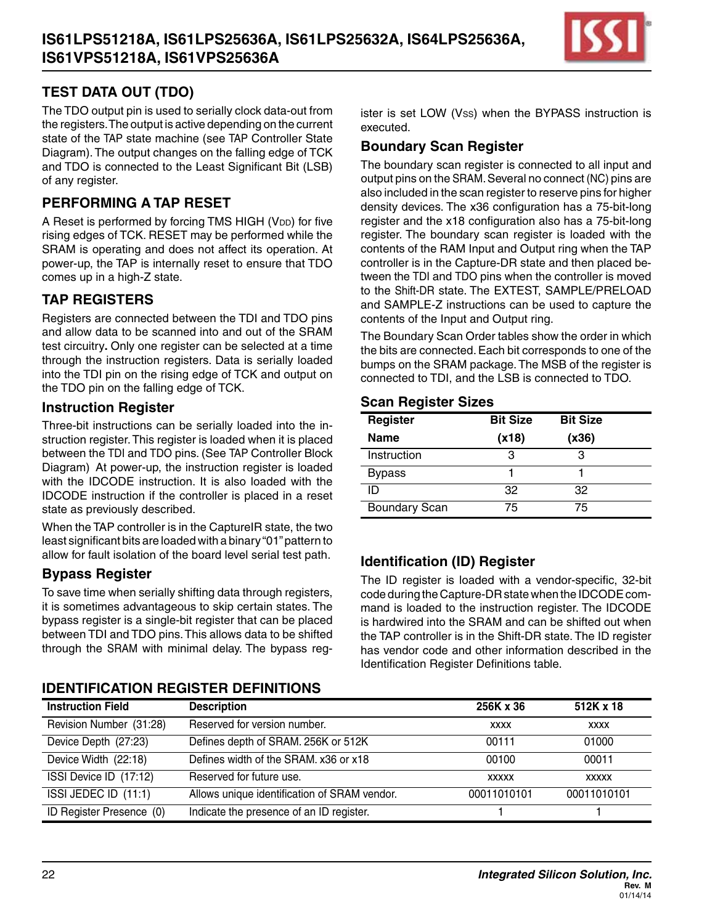

## **Test Data Out (TDO)**

The TDO output pin is used to serially clock data-out from the registers.The output is active depending on the current state of the TAP state machine (see TAP Controller State Diagram).The output changes on the falling edge of TCK and TDO is connected to the Least Significant Bit (LSB) of any register.

## **Performing a TAP Reset**

A Reset is performed by forcing TMS HIGH (VDD) for five rising edges of TCK. RESET may be performed while the SRAM is operating and does not affect its operation. At power-up, the TAP is internally reset to ensure that TDO comes up in a high-Z state.

## **TAP Registers**

Registers are connected between the TDI and TDO pins and allow data to be scanned into and out of the SRAM test circuitry**.** Only one register can be selected at a time through the instruction registers. Data is serially loaded into the TDI pin on the rising edge of TCK and output on the TDO pin on the falling edge of TCK.

#### **Instruction Register**

Three-bit instructions can be serially loaded into the instruction register.This register is loaded when it is placed between the TDI and TDO pins. (See TAP Controller Block Diagram) At power-up, the instruction register is loaded with the IDCODE instruction. It is also loaded with the IDCODE instruction if the controller is placed in a reset state as previously described.

When the TAP controller is in the CaptureIR state, the two least significant bits are loaded with a binary "01"pattern to allow for fault isolation of the board level serial test path.

#### **Bypass Register**

To save time when serially shifting data through registers, it is sometimes advantageous to skip certain states. The bypass register is a single-bit register that can be placed between TDI and TDO pins.This allows data to be shifted through the SRAM with minimal delay. The bypass reg-

## **Identification Register Definitions**

ister is set LOW (Vss) when the BYPASS instruction is executed.

#### **Boundary Scan Register**

The boundary scan register is connected to all input and output pins on the SRAM. Several no connect (NC) pins are also included in the scan register to reserve pins for higher density devices. The x36 configuration has a 75-bit-long register and the x18 configuration also has a 75-bit-long register. The boundary scan register is loaded with the contents of the RAM Input and Output ring when the TAP controller is in the Capture-DR state and then placed between the TDI and TDO pins when the controller is moved to the Shift-DR state. The EXTEST, SAMPLE/PRELOAD and SAMPLE-Z instructions can be used to capture the contents of the Input and Output ring.

The Boundary Scan Order tables show the order in which the bits are connected.Each bit corresponds to one of the bumps on the SRAM package.The MSB of the register is connected to TDI, and the LSB is connected to TDO.

#### **Scan Register Sizes**

| Register             | <b>Bit Size</b> | <b>Bit Size</b> |  |
|----------------------|-----------------|-----------------|--|
| <b>Name</b>          | (x18)           | (x36)           |  |
| Instruction          | з               | З               |  |
| <b>Bypass</b>        |                 |                 |  |
| ID                   | 32              | 32              |  |
| <b>Boundary Scan</b> | 75              | 75              |  |

#### **Identification (ID) Register**

The ID register is loaded with a vendor-specific, 32-bit code during theCapture-DRstatewhen the IDCODEcommand is loaded to the instruction register. The IDCODE is hardwired into the SRAM and can be shifted out when the TAP controller is in the Shift-DR state.The ID register has vendor code and other information described in the Identification Register Definitions table.

| <b>Instruction Field</b> | <b>Description</b>                           | 256K x 36    | 512K x 18    |
|--------------------------|----------------------------------------------|--------------|--------------|
| Revision Number (31:28)  | Reserved for version number.                 | <b>XXXX</b>  | <b>XXXX</b>  |
| Device Depth (27:23)     | Defines depth of SRAM. 256K or 512K          | 00111        | 01000        |
| Device Width (22:18)     | Defines width of the SRAM. x36 or x18        | 00100        | 00011        |
| ISSI Device ID (17:12)   | Reserved for future use.                     | <b>XXXXX</b> | <b>XXXXX</b> |
| ISSI JEDEC ID (11:1)     | Allows unique identification of SRAM vendor. | 00011010101  | 00011010101  |
| ID Register Presence (0) | Indicate the presence of an ID register.     |              |              |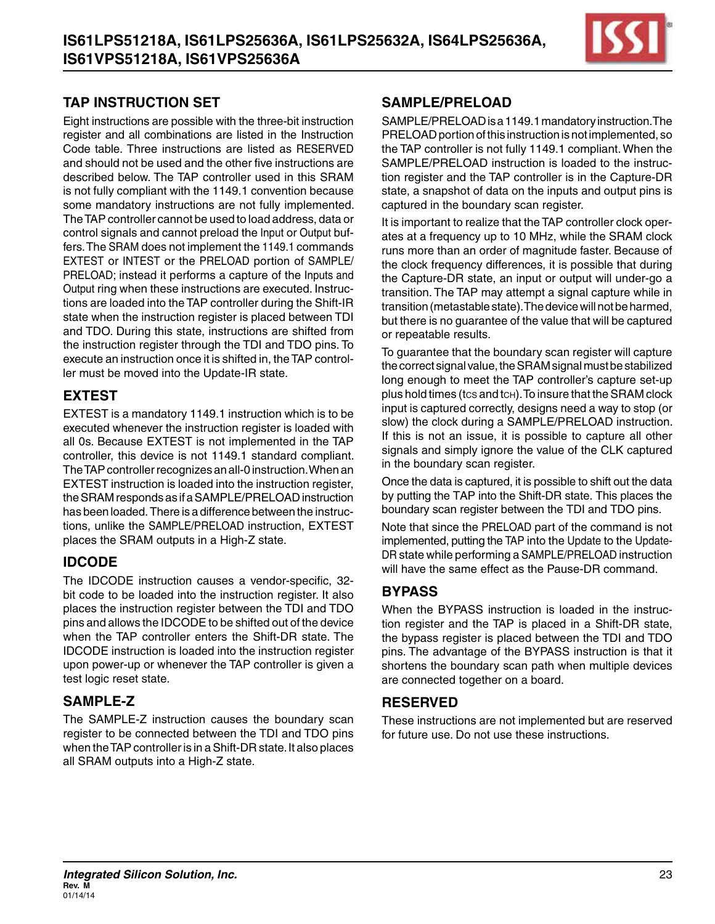

## **TAP Instruction Set**

Eight instructions are possible with the three-bit instruction register and all combinations are listed in the Instruction Code table. Three instructions are listed as RESERVED and should not be used and the other five instructions are described below. The TAP controller used in this SRAM is not fully compliant with the 1149.1 convention because some mandatory instructions are not fully implemented. The TAP controller cannot be used to load address, data or control signals and cannot preload the Input or Output buffers.The SRAM does not implement the 1149.1 commands EXTEST or INTEST or the PRELOAD portion of SAMPLE/ PRELOAD; instead it performs a capture of the Inputs and Output ring when these instructions are executed. Instructions are loaded into the TAP controller during the Shift-IR state when the instruction register is placed between TDI and TDO. During this state, instructions are shifted from the instruction register through the TDI and TDO pins. To execute an instruction once it is shifted in, theTAP controller must be moved into the Update-IR state.

## **EXTEST**

EXTEST is a mandatory 1149.1 instruction which is to be executed whenever the instruction register is loaded with all 0s. Because EXTEST is not implemented in the TAP controller, this device is not 1149.1 standard compliant. The TAP controller recognizes an all-0 instruction. When an EXTEST instruction is loaded into the instruction register, the SRAM responds as if a SAMPLE/PRELOAD instruction has been loaded. There is a difference between the instructions, unlike the SAMPLE/PRELOAD instruction, EXTEST places the SRAM outputs in a High-Z state.

## **IDCODE**

The IDCODE instruction causes a vendor-specific, 32 bit code to be loaded into the instruction register. It also places the instruction register between the TDI and TDO pins and allows the IDCODE to be shifted out of the device when the TAP controller enters the Shift-DR state. The IDCODE instruction is loaded into the instruction register upon power-up or whenever the TAP controller is given a test logic reset state.

## **SAMPLE-Z**

The SAMPLE-Z instruction causes the boundary scan register to be connected between the TDI and TDO pins when the TAP controller is in a Shift-DR state. It also places all SRAM outputs into a High-Z state.

#### **SAMPLE/PRELOAD**

SAMPLE/PRELOADisa1149.1mandatoryinstruction.The PRELOAD portion of this instruction is not implemented, so the TAP controller is not fully 1149.1 compliant.When the SAMPLE/PRELOAD instruction is loaded to the instruction register and the TAP controller is in the Capture-DR state, a snapshot of data on the inputs and output pins is captured in the boundary scan register.

It is important to realize that the TAP controller clock operates at a frequency up to 10 MHz, while the SRAM clock runs more than an order of magnitude faster. Because of the clock frequency differences, it is possible that during the Capture-DR state, an input or output will under-go a transition. The TAP may attempt a signal capture while in transition (metastable state). The device will not be harmed, but there is no guarantee of the value that will be captured or repeatable results.

To guarantee that the boundary scan register will capture the correct signal value, the SRAM signal must be stabilized long enough to meet the TAP controller's capture set-up plus hold times (tcs and tch).To insure that theSRAM clock input is captured correctly, designs need a way to stop (or slow) the clock during a SAMPLE/PRELOAD instruction. If this is not an issue, it is possible to capture all other signals and simply ignore the value of the CLK captured in the boundary scan register.

Once the data is captured, it is possible to shift out the data by putting the TAP into the Shift-DR state. This places the boundary scan register between the TDI and TDO pins.

Note that since the PRELOAD part of the command is not implemented, putting the TAP into the Update to the Update-DR state while performing a SAMPLE/PRELOAD instruction will have the same effect as the Pause-DR command.

## **Bypass**

When the BYPASS instruction is loaded in the instruction register and the TAP is placed in a Shift-DR state, the bypass register is placed between the TDI and TDO pins. The advantage of the BYPASS instruction is that it shortens the boundary scan path when multiple devices are connected together on a board.

## **Reserved**

These instructions are not implemented but are reserved for future use. Do not use these instructions.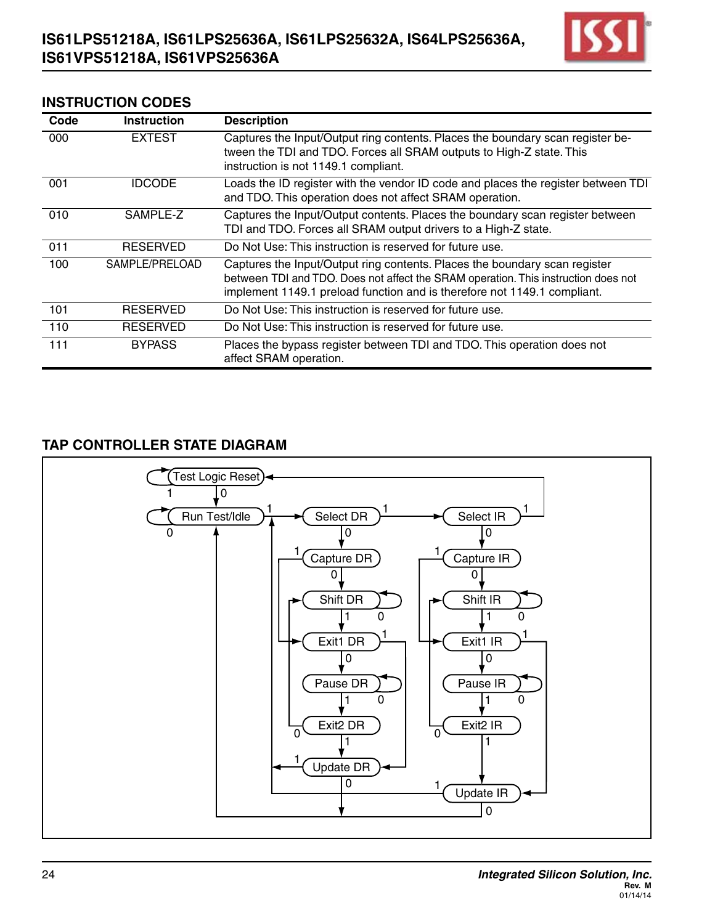

#### **Instruction Codes**

| Code | <b>Instruction</b> | <b>Description</b>                                                                                                                                                                                                                           |
|------|--------------------|----------------------------------------------------------------------------------------------------------------------------------------------------------------------------------------------------------------------------------------------|
| 000  | <b>EXTEST</b>      | Captures the Input/Output ring contents. Places the boundary scan register be-<br>tween the TDI and TDO. Forces all SRAM outputs to High-Z state. This<br>instruction is not 1149.1 compliant.                                               |
| 001  | <b>IDCODE</b>      | Loads the ID register with the vendor ID code and places the register between TDI<br>and TDO. This operation does not affect SRAM operation.                                                                                                 |
| 010  | SAMPLE-Z           | Captures the Input/Output contents. Places the boundary scan register between<br>TDI and TDO. Forces all SRAM output drivers to a High-Z state.                                                                                              |
| 011  | <b>RESERVED</b>    | Do Not Use: This instruction is reserved for future use.                                                                                                                                                                                     |
| 100  | SAMPLE/PRELOAD     | Captures the Input/Output ring contents. Places the boundary scan register<br>between TDI and TDO. Does not affect the SRAM operation. This instruction does not<br>implement 1149.1 preload function and is therefore not 1149.1 compliant. |
| 101  | <b>RESERVED</b>    | Do Not Use: This instruction is reserved for future use.                                                                                                                                                                                     |
| 110  | <b>RESERVED</b>    | Do Not Use: This instruction is reserved for future use.                                                                                                                                                                                     |
| 111  | <b>BYPASS</b>      | Places the bypass register between TDI and TDO. This operation does not<br>affect SRAM operation.                                                                                                                                            |

## **TAP CONTROLLER STATE DIAGRAM**

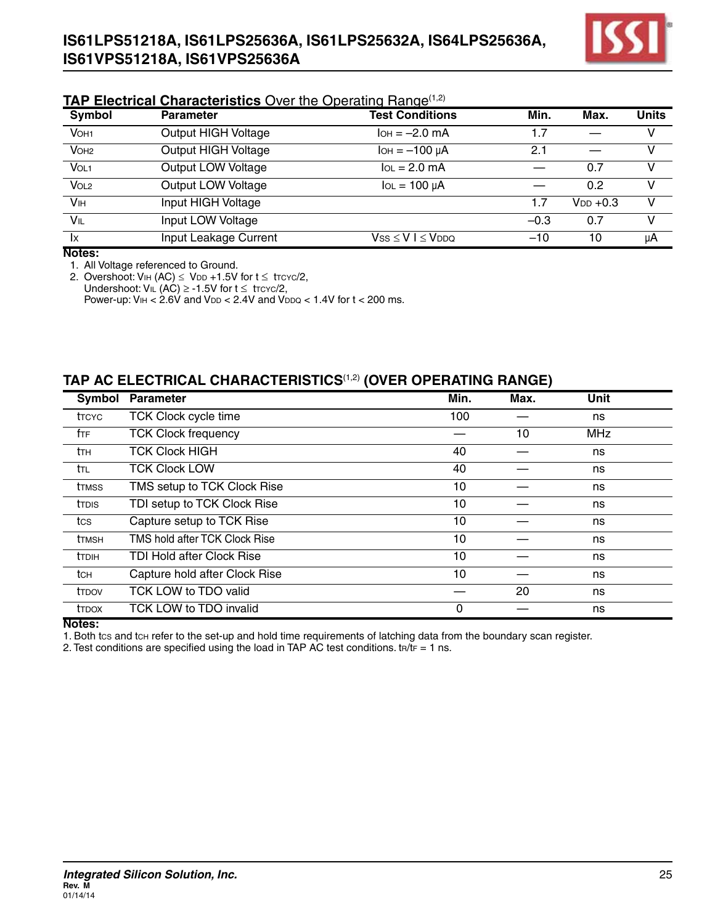

#### **TAP Electrical Characteristics** Over the Operating Range<sup>(1,2)</sup>

| Symbol                    | <b>Parameter</b>           | <b>Test Conditions</b>   | Min.   | Max.          | <b>Units</b> |
|---------------------------|----------------------------|--------------------------|--------|---------------|--------------|
| VOH <sub>1</sub>          | Output HIGH Voltage        | $I$ OH = $-2.0$ mA       | 1.7    |               |              |
| VOH <sub>2</sub>          | <b>Output HIGH Voltage</b> | $I$ OH = $-100 \mu$ A    | 2.1    |               | v            |
| VOL1                      | Output LOW Voltage         | $IOL = 2.0 mA$           |        | 0.7           | v            |
| $\overline{\text{Vol}_2}$ | Output LOW Voltage         | $IOL = 100 \mu A$        |        | 0.2           | v            |
| VIH                       | Input HIGH Voltage         |                          | 1.7    | $V_{DD} +0.3$ | v            |
| VIL                       | Input LOW Voltage          |                          | $-0.3$ | 0.7           | v            |
| $\mathsf{I}\mathsf{x}$    | Input Leakage Current      | $Vss \le V$   $\le VDDQ$ | $-10$  | 10            | μA           |

**Notes:**

1. All Voltage referenced to Ground.

2. Overshoot: VIH (AC)  $\leq$  VDD +1.5V for t  $\leq$  trcyc/2, Undershoot:  $V_{IL}$  (AC) ≥ -1.5V for  $t ≤$  trcyc/2, Power-up:  $V_{\text{IH}} < 2.6V$  and  $V_{\text{DD}} < 2.4V$  and  $V_{\text{DDQ}} < 1.4V$  for  $t < 200$  ms.

#### **TAP AC ELECTRICAL CHARACTERISTICS**(1,2) **(Over Operating Range)**

| Symbol          | <b>Parameter</b>              | Min. | Max. | <b>Unit</b> |  |
|-----------------|-------------------------------|------|------|-------------|--|
| <b>t</b> TCYC   | <b>TCK Clock cycle time</b>   | 100  |      | ns          |  |
| fte             | <b>TCK Clock frequency</b>    |      | 10   | <b>MHz</b>  |  |
| tтн             | <b>TCK Clock HIGH</b>         | 40   |      | ns          |  |
| ttl             | <b>TCK Clock LOW</b>          | 40   |      | ns          |  |
| ttmss           | TMS setup to TCK Clock Rise   | 10   |      | ns          |  |
| ttdis           | TDI setup to TCK Clock Rise   | 10   |      | ns          |  |
| tcs             | Capture setup to TCK Rise     | 10   |      | ns          |  |
| ttmsh           | TMS hold after TCK Clock Rise | 10   |      | ns          |  |
| <b>t</b> TDIH   | TDI Hold after Clock Rise     | 10   |      | ns          |  |
| tc <sub>H</sub> | Capture hold after Clock Rise | 10   |      | ns          |  |
| ttdov           | TCK LOW to TDO valid          |      | 20   | ns          |  |
| <b>t</b> TDOX   | TCK LOW to TDO invalid        | 0    |      | ns          |  |

#### **Notes:**

1. Both tcs and tch refer to the set-up and hold time requirements of latching data from the boundary scan register.

2. Test conditions are specified using the load in TAP AC test conditions.  $tr/tr = 1$  ns.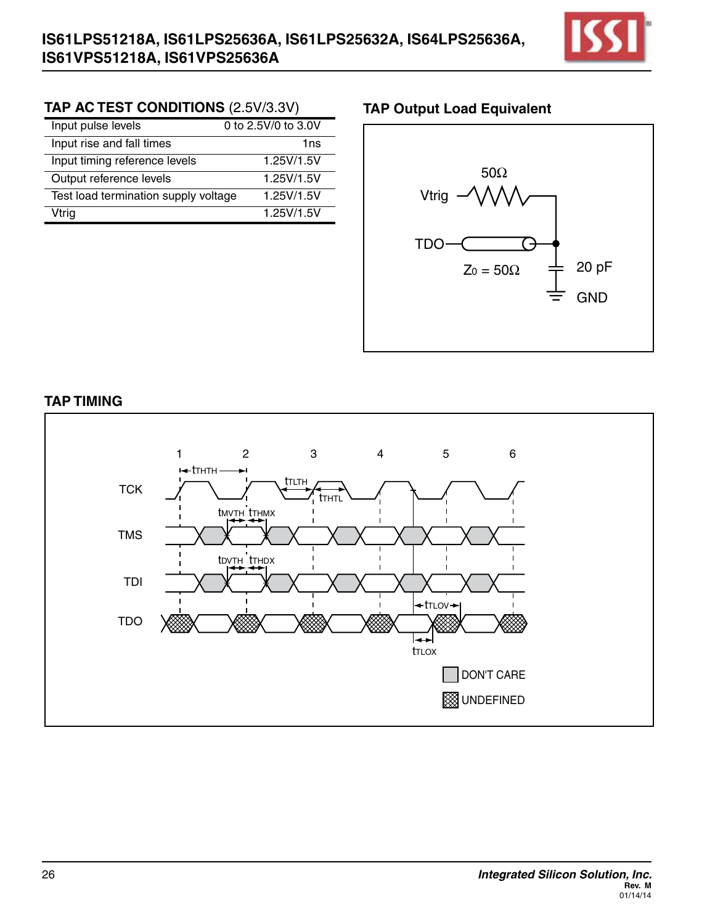

## **TAP AC TEST CONDITIONS** (2.5V/3.3V) **TAP Output Load Equivalent**

| Input pulse levels                   | 0 to 2.5V/0 to 3.0V |
|--------------------------------------|---------------------|
| Input rise and fall times            | 1ns                 |
| Input timing reference levels        | 1.25V/1.5V          |
| Output reference levels              | 1.25V/1.5V          |
| Test load termination supply voltage | 1.25V/1.5V          |
| Vtrig                                | 1.25V/1.5V          |



## **Tap timing**

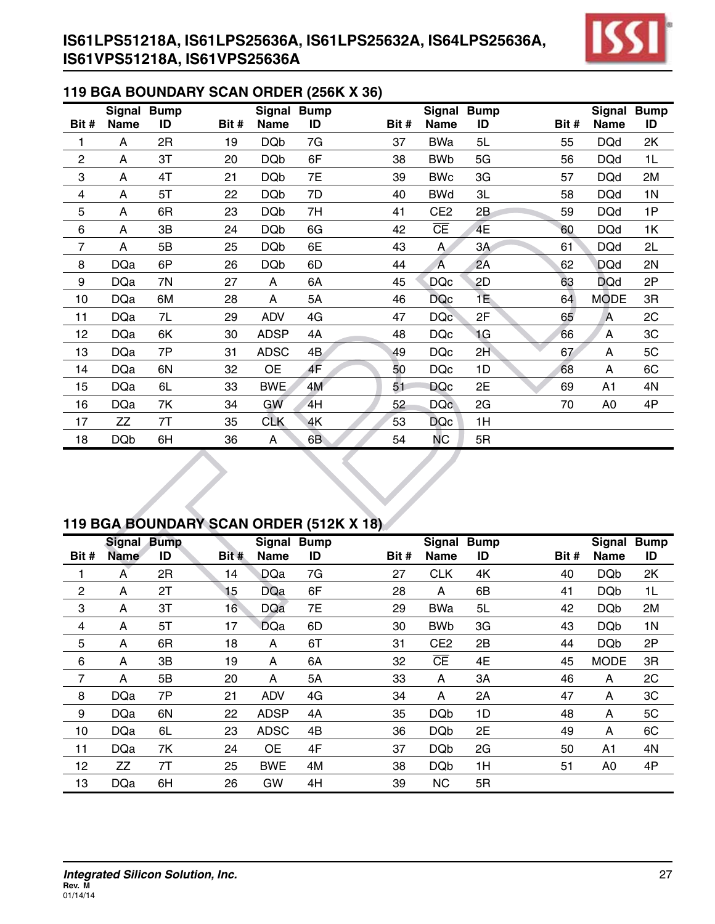

## **119 BGA Boundary Scan Order (256K X 36)**

|                | Signal      | <b>Bump</b> |       | <b>Signal</b> | <b>Bump</b> |       | Signal Bump     |    |       | <b>Signal</b>  | <b>Bump</b>    |
|----------------|-------------|-------------|-------|---------------|-------------|-------|-----------------|----|-------|----------------|----------------|
| Bit#           | <b>Name</b> | ID          | Bit # | <b>Name</b>   | ID          | Bit # | <b>Name</b>     | ID | Bit # | <b>Name</b>    | ID             |
| 1              | A           | 2R          | 19    | <b>DQb</b>    | 7G          | 37    | BWa             | 5L | 55    | <b>DQd</b>     | 2K             |
| $\overline{c}$ | A           | 3T          | 20    | <b>DQb</b>    | 6F          | 38    | <b>BWb</b>      | 5G | 56    | <b>DQd</b>     | 1L             |
| 3              | A           | 4T          | 21    | <b>DQb</b>    | 7E          | 39    | <b>BWc</b>      | 3G | 57    | <b>DQd</b>     | 2M             |
| 4              | A           | 5T          | 22    | <b>DQb</b>    | 7D          | 40    | <b>BWd</b>      | 3L | 58    | <b>DQd</b>     | 1 <sub>N</sub> |
| 5              | A           | 6R          | 23    | <b>DQb</b>    | 7H          | 41    | CE <sub>2</sub> | 2B | 59    | <b>DQd</b>     | 1P             |
| 6              | A           | 3B          | 24    | <b>DQb</b>    | 6G          | 42    | <b>CE</b>       | 4E | 60    | <b>DQd</b>     | 1K             |
| 7              | A           | 5B          | 25    | <b>DQb</b>    | 6E          | 43    | A               | 3A | 61    | <b>DQd</b>     | 2L             |
| 8              | <b>DQa</b>  | 6P          | 26    | <b>DQb</b>    | 6D          | 44    | A               | 2A | 62    | <b>DQd</b>     | 2N             |
| 9              | <b>DQa</b>  | 7N          | 27    | A             | 6A          | 45    | <b>DQc</b>      | 2D | 63    | <b>DQd</b>     | 2P             |
| 10             | <b>DQa</b>  | 6M          | 28    | A             | 5A          | 46    | <b>DQc</b>      | 1E | 64    | <b>MODE</b>    | 3R             |
| 11             | <b>DQa</b>  | 7L          | 29    | <b>ADV</b>    | 4G          | 47    | <b>DQc</b>      | 2F | 65    | A              | 2C             |
| 12             | <b>DQa</b>  | 6K          | 30    | <b>ADSP</b>   | 4A          | 48    | <b>DQc</b>      | 1G | 66    | A              | 3C             |
| 13             | <b>DQa</b>  | 7P          | 31    | <b>ADSC</b>   | 4B          | 49    | <b>DQc</b>      | 2H | 67    | A              | 5C             |
| 14             | <b>DQa</b>  | 6N          | 32    | <b>OE</b>     | 4F          | 50    | <b>DQc</b>      | 1D | 68    | A              | 6C             |
| 15             | <b>DQa</b>  | 6L          | 33    | <b>BWE</b>    | 4M          | 51    | <b>DQc</b>      | 2E | 69    | A <sub>1</sub> | 4N             |
| 16             | <b>DQa</b>  | 7K          | 34    | GW            | 4H          | 52    | <b>DQc</b>      | 2G | 70    | A <sub>0</sub> | 4P             |
| 17             | ZZ          | 7T          | 35    | <b>CLK</b>    | 4K          | 53    | <b>DQc</b>      | 1H |       |                |                |
| 18             | <b>DQb</b>  | 6H          | 36    | A             | 6B          | 54    | NС              | 5R |       |                |                |

# **119 BGA Boundary Scan Order (512k X 18)**

|      | <b>Signal Bump</b> |    |                 | Signal      | <b>Bump</b> |       | <b>Signal</b>   | <b>Bump</b> |       | <b>Signal</b>  | <b>Bump</b>    |
|------|--------------------|----|-----------------|-------------|-------------|-------|-----------------|-------------|-------|----------------|----------------|
| Bit# | <b>Name</b>        | ID | Bit #           | <b>Name</b> | ID          | Bit # | <b>Name</b>     | ID          | Bit # | Name           | ID             |
|      | A                  | 2R | 14              | <b>DQa</b>  | 7G          | 27    | <b>CLK</b>      | 4K          | 40    | <b>DQb</b>     | 2K             |
| 2    | A                  | 2T | 15              | <b>DQa</b>  | 6F          | 28    | A               | 6B          | 41    | <b>DQb</b>     | 1L             |
| 3    | A                  | 3T | 16 <sup>°</sup> | <b>DQa</b>  | 7E          | 29    | <b>BWa</b>      | 5L          | 42    | <b>DQb</b>     | 2M             |
| 4    | A                  | 5T | 17              | <b>DQa</b>  | 6D          | 30    | <b>BWb</b>      | 3G          | 43    | <b>DQb</b>     | 1 <sub>N</sub> |
| 5    | A                  | 6R | 18              | A           | 6T          | 31    | CE <sub>2</sub> | 2B          | 44    | <b>DQb</b>     | 2P             |
| 6    | A                  | 3B | 19              | A           | 6A          | 32    | CΕ              | 4E          | 45    | <b>MODE</b>    | 3R             |
| 7    | A                  | 5B | 20              | A           | 5A          | 33    | A               | 3A          | 46    | A              | 2C             |
| 8    | <b>DQa</b>         | 7P | 21              | <b>ADV</b>  | 4G          | 34    | A               | 2A          | 47    | A              | 3C             |
| 9    | <b>DQa</b>         | 6N | 22              | <b>ADSP</b> | 4A          | 35    | <b>DQb</b>      | 1D          | 48    | A              | 5C             |
| 10   | <b>DQa</b>         | 6L | 23              | <b>ADSC</b> | 4B          | 36    | <b>DQb</b>      | 2E          | 49    | A              | 6C             |
| 11   | <b>DQa</b>         | 7K | 24              | ОE          | 4F          | 37    | <b>DQb</b>      | 2G          | 50    | A1             | 4N             |
| 12   | ZZ                 | 7T | 25              | <b>BWE</b>  | 4M          | 38    | <b>DQb</b>      | 1H          | 51    | A <sub>0</sub> | 4P             |
| 13   | <b>DQa</b>         | 6H | 26              | GW          | 4H          | 39    | <b>NC</b>       | 5R          |       |                |                |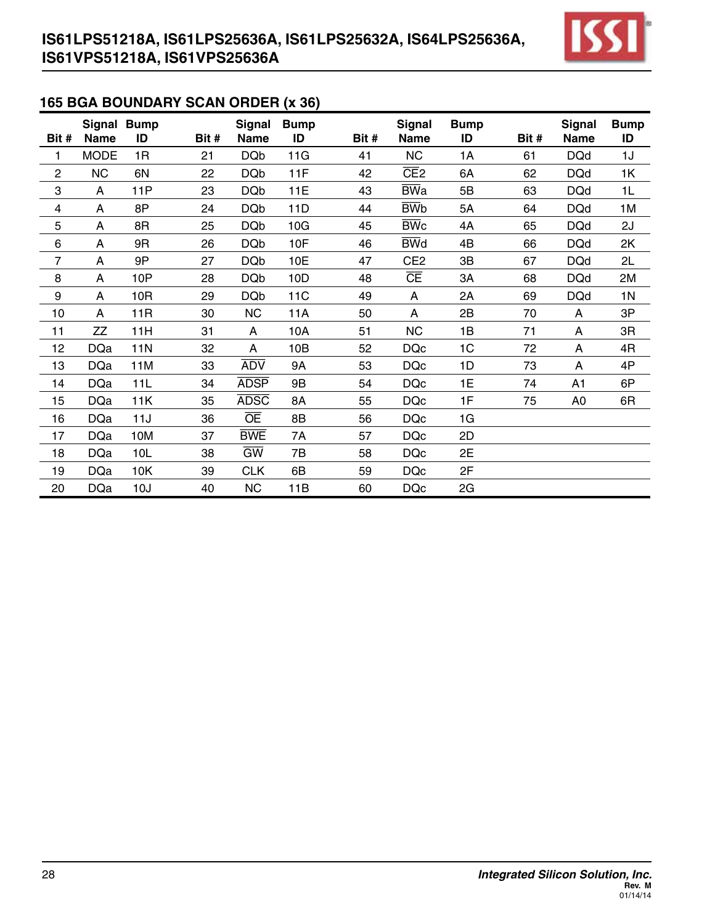

## **165 BGA Boundary Scan Order (x 36)**

| Bit #          | <b>Name</b> | Signal Bump<br>ID | Bit # | <b>Signal</b><br><b>Name</b> | <b>Bump</b><br>ID | Bit # | <b>Signal</b><br><b>Name</b> | <b>Bump</b><br>ID | Bit # | <b>Signal</b><br>Name | <b>Bump</b><br>ID |
|----------------|-------------|-------------------|-------|------------------------------|-------------------|-------|------------------------------|-------------------|-------|-----------------------|-------------------|
| 1              | <b>MODE</b> | 1R                | 21    | <b>DQb</b>                   | 11G               | 41    | <b>NC</b>                    | 1A                | 61    | <b>DQd</b>            | 1J                |
| $\overline{c}$ | <b>NC</b>   | 6N                | 22    | <b>DQb</b>                   | 11F               | 42    | CE2                          | 6A                | 62    | <b>DQd</b>            | 1K                |
| 3              | A           | 11P               | 23    | <b>DQb</b>                   | 11E               | 43    | <b>BWa</b>                   | 5B                | 63    | <b>DQd</b>            | 1L                |
| 4              | A           | 8P                | 24    | <b>DQb</b>                   | 11D               | 44    | <b>BWb</b>                   | 5A                | 64    | <b>DQd</b>            | 1M                |
| 5              | A           | 8R                | 25    | <b>DQb</b>                   | 10G               | 45    | $\overline{\text{BW}}$ c     | 4A                | 65    | <b>DQd</b>            | 2J                |
| $\,6$          | A           | 9R                | 26    | <b>DQb</b>                   | 10F               | 46    | <b>BWd</b>                   | 4B                | 66    | <b>DQd</b>            | 2K                |
| 7              | A           | 9P                | 27    | <b>DQb</b>                   | 10E               | 47    | CE <sub>2</sub>              | 3B                | 67    | <b>DQd</b>            | 2L                |
| 8              | A           | 10P               | 28    | <b>DQb</b>                   | 10D               | 48    | <b>CE</b>                    | 3A                | 68    | <b>DQd</b>            | 2M                |
| 9              | A           | 10R               | 29    | <b>DQb</b>                   | <b>11C</b>        | 49    | A                            | 2A                | 69    | <b>DQd</b>            | 1 <sub>N</sub>    |
| 10             | A           | 11 <sub>R</sub>   | 30    | <b>NC</b>                    | 11A               | 50    | A                            | 2B                | 70    | A                     | 3P                |
| 11             | ZZ          | 11H               | 31    | A                            | 10A               | 51    | <b>NC</b>                    | 1B                | 71    | A                     | 3R                |
| 12             | <b>DQa</b>  | <b>11N</b>        | 32    | A                            | 10B               | 52    | <b>DQc</b>                   | 1 <sub>C</sub>    | 72    | A                     | 4R                |
| 13             | <b>DQa</b>  | 11M               | 33    | <b>ADV</b>                   | 9A                | 53    | <b>DQc</b>                   | 1D                | 73    | A                     | 4P                |
| 14             | <b>DQa</b>  | 11L               | 34    | <b>ADSP</b>                  | 9B                | 54    | <b>DQc</b>                   | 1E                | 74    | A1                    | 6P                |
| 15             | <b>DQa</b>  | 11K               | 35    | <b>ADSC</b>                  | 8A                | 55    | <b>DQc</b>                   | 1F                | 75    | A <sub>0</sub>        | 6R                |
| 16             | <b>DQa</b>  | 11J               | 36    | <b>OE</b>                    | 8B                | 56    | <b>DQc</b>                   | 1G                |       |                       |                   |
| 17             | <b>DQa</b>  | 10M               | 37    | <b>BWE</b>                   | 7A                | 57    | <b>DQc</b>                   | 2D                |       |                       |                   |
| 18             | <b>DQa</b>  | 10L               | 38    | $\overline{GW}$              | 7B                | 58    | <b>DQc</b>                   | 2E                |       |                       |                   |
| 19             | <b>DQa</b>  | 10K               | 39    | <b>CLK</b>                   | 6B                | 59    | <b>DQc</b>                   | 2F                |       |                       |                   |
| 20             | <b>DQa</b>  | 10J               | 40    | <b>NC</b>                    | 11B               | 60    | <b>DQc</b>                   | 2G                |       |                       |                   |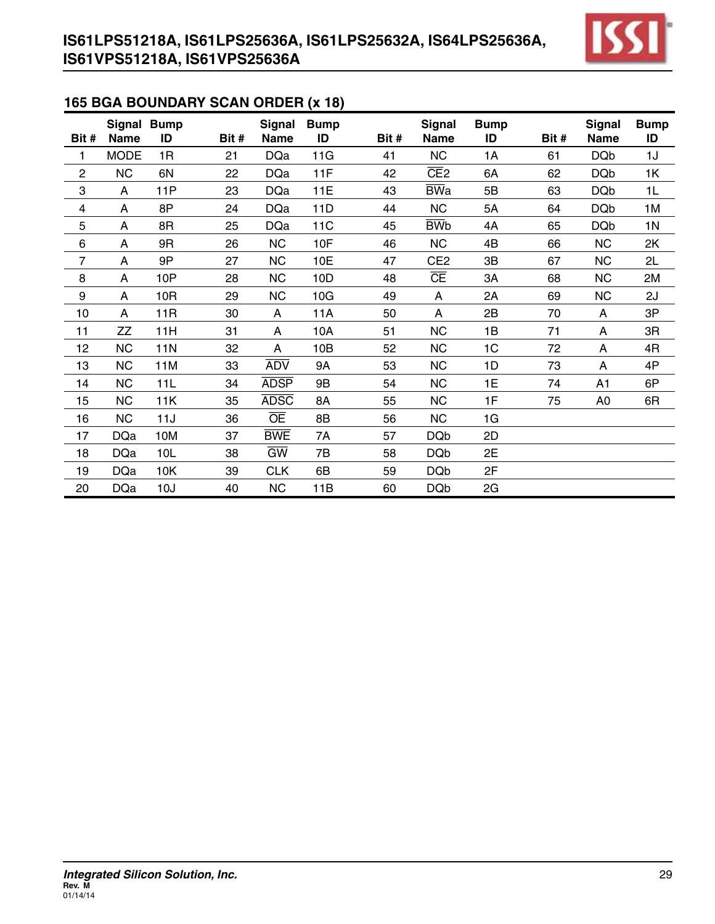

## **165 BGA Boundary Scan Order (x 18)**

| Bit #                   | Signal Bump<br><b>Name</b> | ID              | Bit # | <b>Signal</b><br><b>Name</b> | <b>Bump</b><br>ID | Bit # | <b>Signal</b><br><b>Name</b> | <b>Bump</b><br>ID | Bit # | <b>Signal</b><br><b>Name</b> | <b>Bump</b><br>ID |
|-------------------------|----------------------------|-----------------|-------|------------------------------|-------------------|-------|------------------------------|-------------------|-------|------------------------------|-------------------|
| 1                       | <b>MODE</b>                | 1R              | 21    | <b>DQa</b>                   | 11G               | 41    | <b>NC</b>                    | 1A                | 61    | <b>DQb</b>                   | 1J                |
| $\mathbf 2$             | <b>NC</b>                  | 6N              | 22    | <b>DQa</b>                   | 11F               | 42    | CE <sub>2</sub>              | 6A                | 62    | <b>DQb</b>                   | 1K                |
| 3                       | A                          | 11P             | 23    | <b>DQa</b>                   | 11E               | 43    | <b>BWa</b>                   | 5B                | 63    | <b>DQb</b>                   | 1L                |
| $\overline{\mathbf{4}}$ | A                          | 8P              | 24    | <b>DQa</b>                   | 11D               | 44    | <b>NC</b>                    | 5A                | 64    | <b>DQb</b>                   | 1M                |
| 5                       | A                          | 8R              | 25    | <b>DQa</b>                   | 11C               | 45    | <b>BWb</b>                   | 4A                | 65    | <b>DQb</b>                   | 1 <sub>N</sub>    |
| 6                       | A                          | 9R              | 26    | <b>NC</b>                    | 10F               | 46    | <b>NC</b>                    | 4B                | 66    | <b>NC</b>                    | 2K                |
| 7                       | A                          | 9P              | 27    | <b>NC</b>                    | 10E               | 47    | CE <sub>2</sub>              | 3B                | 67    | <b>NC</b>                    | 2L                |
| 8                       | A                          | 10P             | 28    | <b>NC</b>                    | 10D               | 48    | CΕ                           | 3A                | 68    | <b>NC</b>                    | 2M                |
| 9                       | A                          | 10R             | 29    | <b>NC</b>                    | 10G               | 49    | A                            | 2A                | 69    | <b>NC</b>                    | 2J                |
| 10                      | A                          | 11 <sub>R</sub> | 30    | A                            | 11A               | 50    | A                            | 2B                | 70    | A                            | 3P                |
| 11                      | ZZ                         | 11H             | 31    | A                            | 10A               | 51    | <b>NC</b>                    | 1B                | 71    | A                            | 3R                |
| 12                      | <b>NC</b>                  | 11N             | 32    | A                            | 10B               | 52    | <b>NC</b>                    | 1C                | 72    | A                            | 4R                |
| 13                      | <b>NC</b>                  | 11M             | 33    | <b>ADV</b>                   | <b>9A</b>         | 53    | <b>NC</b>                    | 1D                | 73    | A                            | 4P                |
| 14                      | <b>NC</b>                  | 11L             | 34    | <b>ADSP</b>                  | 9B                | 54    | <b>NC</b>                    | 1E                | 74    | A1                           | 6P                |
| 15                      | <b>NC</b>                  | 11K             | 35    | <b>ADSC</b>                  | 8A                | 55    | <b>NC</b>                    | 1F                | 75    | A <sub>0</sub>               | 6R                |
| 16                      | <b>NC</b>                  | 11J             | 36    | ŌĒ                           | 8B                | 56    | <b>NC</b>                    | 1G                |       |                              |                   |
| 17                      | <b>DQa</b>                 | 10M             | 37    | <b>BWE</b>                   | 7A                | 57    | <b>DQb</b>                   | 2D                |       |                              |                   |
| 18                      | <b>DQa</b>                 | 10L             | 38    | $\overline{\text{GW}}$       | 7B                | 58    | <b>DQb</b>                   | 2E                |       |                              |                   |
| 19                      | <b>DQa</b>                 | 10K             | 39    | <b>CLK</b>                   | 6B                | 59    | <b>DQb</b>                   | 2F                |       |                              |                   |
| 20                      | <b>DQa</b>                 | 10J             | 40    | <b>NC</b>                    | 11B               | 60    | <b>DQb</b>                   | 2G                |       |                              |                   |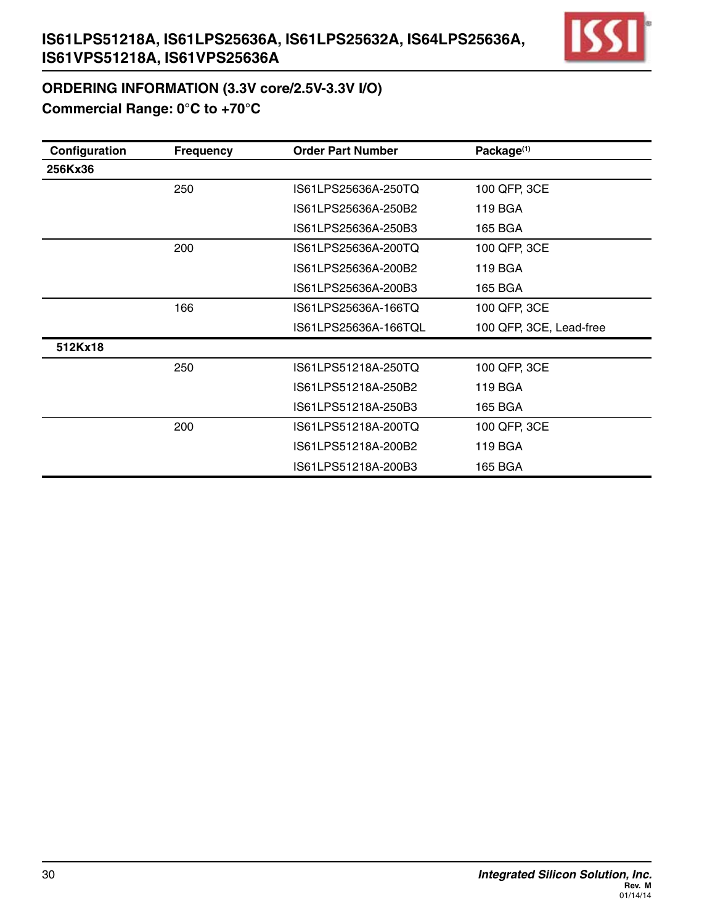

# **ORDERING INFORMATION (3.3V core/2.5V-3.3V I/O) Commercial Range: 0°C to +70°C**

| Configuration | <b>Frequency</b> | <b>Order Part Number</b> | Package <sup>(1)</sup>  |
|---------------|------------------|--------------------------|-------------------------|
| 256Kx36       |                  |                          |                         |
|               | 250              | IS61LPS25636A-250TQ      | 100 QFP, 3CE            |
|               |                  | IS61LPS25636A-250B2      | 119 BGA                 |
|               |                  | IS61LPS25636A-250B3      | 165 BGA                 |
|               | 200              | IS61LPS25636A-200TQ      | 100 QFP, 3CE            |
|               |                  | IS61LPS25636A-200B2      | 119 BGA                 |
|               |                  | IS61LPS25636A-200B3      | 165 BGA                 |
|               | 166              | IS61LPS25636A-166TQ      | 100 QFP, 3CE            |
|               |                  | IS61LPS25636A-166TQL     | 100 QFP, 3CE, Lead-free |
| 512Kx18       |                  |                          |                         |
|               | 250              | IS61LPS51218A-250TQ      | 100 QFP, 3CE            |
|               |                  | IS61LPS51218A-250B2      | 119 BGA                 |
|               |                  | IS61LPS51218A-250B3      | 165 BGA                 |
|               | 200              | IS61LPS51218A-200TQ      | 100 QFP, 3CE            |
|               |                  | IS61LPS51218A-200B2      | 119 BGA                 |
|               |                  | IS61LPS51218A-200B3      | 165 BGA                 |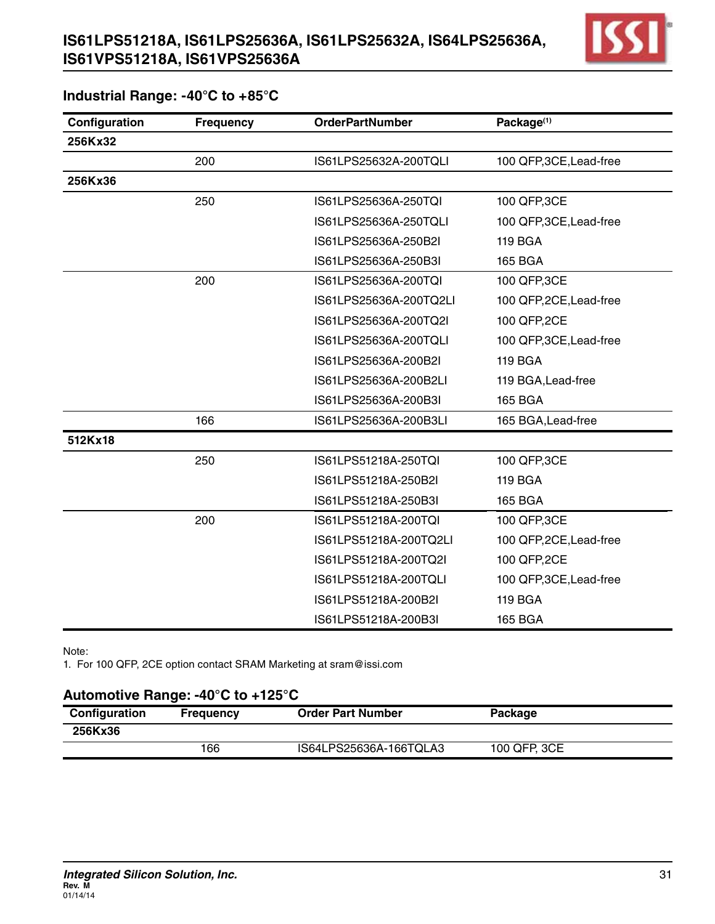

#### **Industrial Range: -40°C to +85°C**

| Configuration | <b>Frequency</b> | <b>OrderPartNumber</b> | Package <sup>(1)</sup>  |
|---------------|------------------|------------------------|-------------------------|
| 256Kx32       |                  |                        |                         |
|               | 200              | IS61LPS25632A-200TQLI  | 100 QFP, 3CE, Lead-free |
| 256Kx36       |                  |                        |                         |
|               | 250              | IS61LPS25636A-250TQI   | 100 QFP, 3CE            |
|               |                  | IS61LPS25636A-250TQLI  | 100 QFP, 3CE, Lead-free |
|               |                  | IS61LPS25636A-250B2I   | <b>119 BGA</b>          |
|               |                  | IS61LPS25636A-250B3I   | <b>165 BGA</b>          |
|               | 200              | IS61LPS25636A-200TQI   | 100 QFP, 3CE            |
|               |                  | IS61LPS25636A-200TQ2LI | 100 QFP,2CE, Lead-free  |
|               |                  | IS61LPS25636A-200TQ2I  | 100 QFP,2CE             |
|               |                  | IS61LPS25636A-200TQLI  | 100 QFP, 3CE, Lead-free |
|               |                  | IS61LPS25636A-200B2I   | <b>119 BGA</b>          |
|               |                  | IS61LPS25636A-200B2LI  | 119 BGA, Lead-free      |
|               |                  | IS61LPS25636A-200B3I   | <b>165 BGA</b>          |
|               | 166              | IS61LPS25636A-200B3LI  | 165 BGA, Lead-free      |
| 512Kx18       |                  |                        |                         |
|               | 250              | IS61LPS51218A-250TQI   | 100 QFP, 3CE            |
|               |                  | IS61LPS51218A-250B2I   | <b>119 BGA</b>          |
|               |                  | IS61LPS51218A-250B3I   | <b>165 BGA</b>          |
|               | 200              | IS61LPS51218A-200TQI   | 100 QFP, 3CE            |
|               |                  | IS61LPS51218A-200TQ2LI | 100 QFP,2CE, Lead-free  |
|               |                  | IS61LPS51218A-200TQ2I  | 100 QFP, 2CE            |
|               |                  | IS61LPS51218A-200TQLI  | 100 QFP, 3CE, Lead-free |
|               |                  | IS61LPS51218A-200B2I   | <b>119 BGA</b>          |
|               |                  | IS61LPS51218A-200B3I   | <b>165 BGA</b>          |

Note:

1. For 100 QFP, 2CE option contact SRAM Marketing at sram@issi.com

#### **Automotive Range: -40°C to +125°C**

| Configuration | <b>Frequency</b> | <b>Order Part Number</b> | <b>Package</b> |  |
|---------------|------------------|--------------------------|----------------|--|
| 256Kx36       |                  |                          |                |  |
|               | 166              | IS64LPS25636A-166TQLA3   | 100 QFP, 3CE   |  |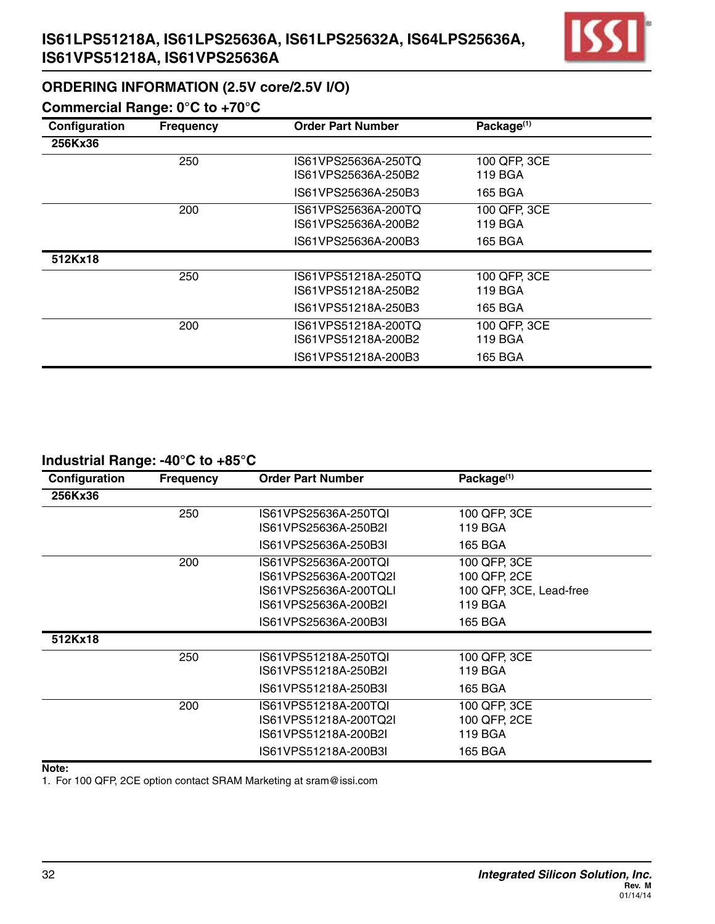# **IS61LPS51218A, IS61LPS25636A, IS61LPS25632A, IS64LPS25636A, IS61VPS51218A, IS61VPS25636A**



## **ORDERING INFORMATION (2.5V core/2.5V I/O)**

## **Commercial Range: 0°C to +70°C**

| Configuration | <b>Frequency</b> | <b>Order Part Number</b> | Package <sup>(1)</sup> |  |
|---------------|------------------|--------------------------|------------------------|--|
| 256Kx36       |                  |                          |                        |  |
|               | 250              | IS61VPS25636A-250TQ      | 100 QFP, 3CE           |  |
|               |                  | IS61VPS25636A-250B2      | 119 BGA                |  |
|               |                  | IS61VPS25636A-250B3      | 165 BGA                |  |
|               | 200              | IS61VPS25636A-200TQ      | 100 QFP, 3CE           |  |
|               |                  | IS61VPS25636A-200B2      | 119 BGA                |  |
|               |                  | IS61VPS25636A-200B3      | 165 BGA                |  |
| 512Kx18       |                  |                          |                        |  |
|               | 250              | IS61VPS51218A-250TQ      | 100 QFP, 3CE           |  |
|               |                  | IS61VPS51218A-250B2      | 119 BGA                |  |
|               |                  | IS61VPS51218A-250B3      | 165 BGA                |  |
|               | 200              | IS61VPS51218A-200TQ      | 100 QFP, 3CE           |  |
|               |                  | IS61VPS51218A-200B2      | 119 BGA                |  |
|               |                  | IS61VPS51218A-200B3      | 165 BGA                |  |

#### **Industrial Range: -40°C to +85°C**

| Configuration | <b>Frequency</b> | <b>Order Part Number</b>                                                                                              | Package <sup>(1)</sup>                                             |
|---------------|------------------|-----------------------------------------------------------------------------------------------------------------------|--------------------------------------------------------------------|
| 256Kx36       |                  |                                                                                                                       |                                                                    |
|               | 250              | IS61VPS25636A-250TQI<br>IS61VPS25636A-250B2I                                                                          | 100 QFP, 3CE<br>119 BGA                                            |
|               |                  | IS61VPS25636A-250B3I                                                                                                  | 165 BGA                                                            |
|               | 200              | IS61VPS25636A-200TQI<br>IS61VPS25636A-200TQ2I<br>IS61VPS25636A-200TQLI<br>IS61VPS25636A-200B2I                        | 100 QFP, 3CE<br>100 QFP, 2CE<br>100 QFP, 3CE, Lead-free<br>119 BGA |
|               |                  | IS61VPS25636A-200B3I                                                                                                  | 165 BGA                                                            |
| 512Kx18       | 250              | IS61VPS51218A-250TQI<br>IS61VPS51218A-250B2I                                                                          | 100 QFP, 3CE<br>119 BGA                                            |
|               | 200              | IS61VPS51218A-250B3I<br>IS61VPS51218A-200TQI<br>IS61VPS51218A-200TQ2I<br>IS61VPS51218A-200B2I<br>IS61VPS51218A-200B3I | 165 BGA<br>100 QFP, 3CE<br>100 QFP, 2CE<br>119 BGA<br>165 BGA      |

**Note:**

1. For 100 QFP, 2CE option contact SRAM Marketing at sram@issi.com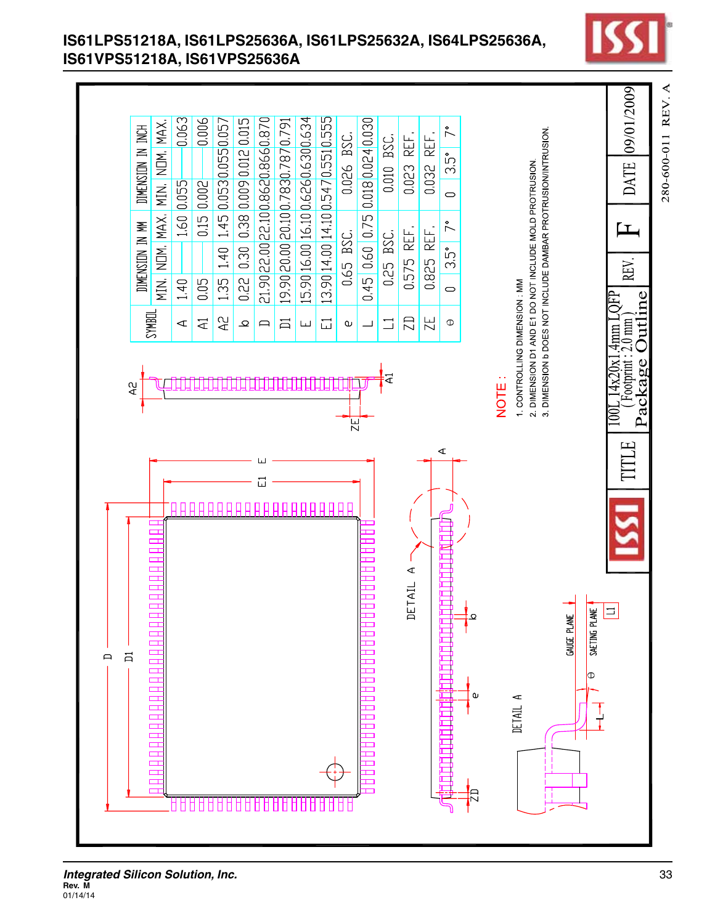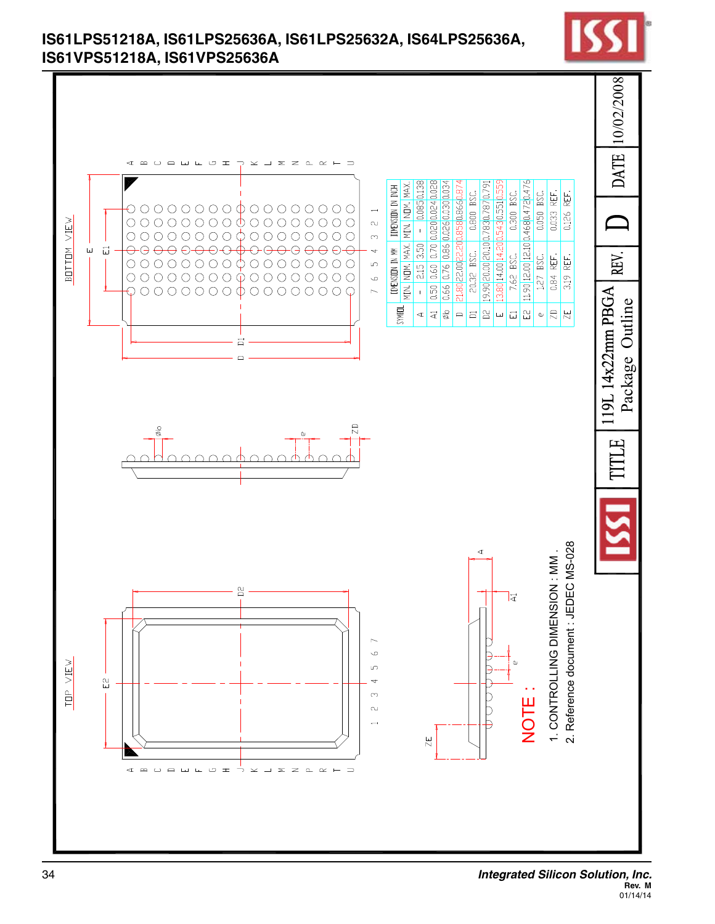

## **IS61LPS51218A, IS61LPS25636A, IS61LPS25632A, IS64LPS25636A, IS61VPS51218A, IS61VPS25636A**